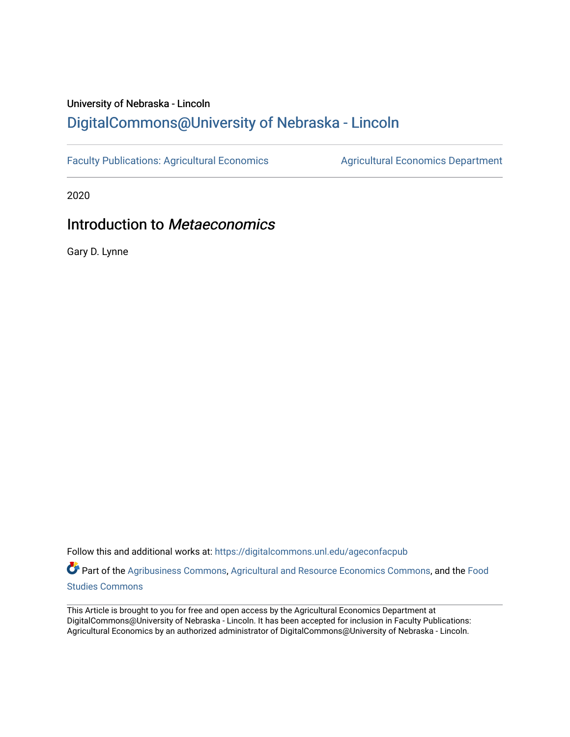## University of Nebraska - Lincoln [DigitalCommons@University of Nebraska - Lincoln](https://digitalcommons.unl.edu/)

[Faculty Publications: Agricultural Economics](https://digitalcommons.unl.edu/ageconfacpub) [Agricultural Economics Department](https://digitalcommons.unl.edu/ag_econ) 

2020

# Introduction to Metaeconomics

Gary D. Lynne

Follow this and additional works at: [https://digitalcommons.unl.edu/ageconfacpub](https://digitalcommons.unl.edu/ageconfacpub?utm_source=digitalcommons.unl.edu%2Fageconfacpub%2F240&utm_medium=PDF&utm_campaign=PDFCoverPages)

Part of the [Agribusiness Commons,](http://network.bepress.com/hgg/discipline/1051?utm_source=digitalcommons.unl.edu%2Fageconfacpub%2F240&utm_medium=PDF&utm_campaign=PDFCoverPages) [Agricultural and Resource Economics Commons,](http://network.bepress.com/hgg/discipline/317?utm_source=digitalcommons.unl.edu%2Fageconfacpub%2F240&utm_medium=PDF&utm_campaign=PDFCoverPages) and the [Food](http://network.bepress.com/hgg/discipline/1386?utm_source=digitalcommons.unl.edu%2Fageconfacpub%2F240&utm_medium=PDF&utm_campaign=PDFCoverPages) [Studies Commons](http://network.bepress.com/hgg/discipline/1386?utm_source=digitalcommons.unl.edu%2Fageconfacpub%2F240&utm_medium=PDF&utm_campaign=PDFCoverPages) 

This Article is brought to you for free and open access by the Agricultural Economics Department at DigitalCommons@University of Nebraska - Lincoln. It has been accepted for inclusion in Faculty Publications: Agricultural Economics by an authorized administrator of DigitalCommons@University of Nebraska - Lincoln.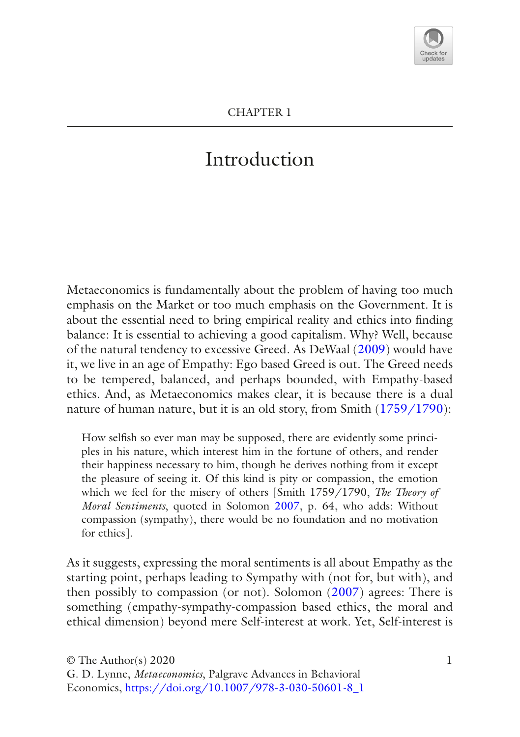

## Introduction

Metaeconomics is fundamentally about the problem of having too much emphasis on the Market or too much emphasis on the Government. It is about the essential need to bring empirical reality and ethics into finding balance: It is essential to achieving a good capitalism. Why? Well, because of the natural tendency to excessive Greed. As DeWaal ([2009](#page-29-0)) would have it, we live in an age of Empathy: Ego based Greed is out. The Greed needs to be tempered, balanced, and perhaps bounded, with Empathy-based ethics. And, as Metaeconomics makes clear, it is because there is a dual nature of human nature, but it is an old story, from Smith ([1759/1790\)](#page-31-0):

How selfish so ever man may be supposed, there are evidently some principles in his nature, which interest him in the fortune of others, and render their happiness necessary to him, though he derives nothing from it except the pleasure of seeing it. Of this kind is pity or compassion, the emotion which we feel for the misery of others [Smith 1759/1790, *The Theory of Moral Sentiments*, quoted in Solomon [2007,](#page-32-0) p. 64, who adds: Without compassion (sympathy), there would be no foundation and no motivation for ethics].

As it suggests, expressing the moral sentiments is all about Empathy as the starting point, perhaps leading to Sympathy with (not for, but with), and then possibly to compassion (or not). Solomon ([2007](#page-32-0)) agrees: There is something (empathy-sympathy-compassion based ethics, the moral and ethical dimension) beyond mere Self-interest at work. Yet, Self-interest is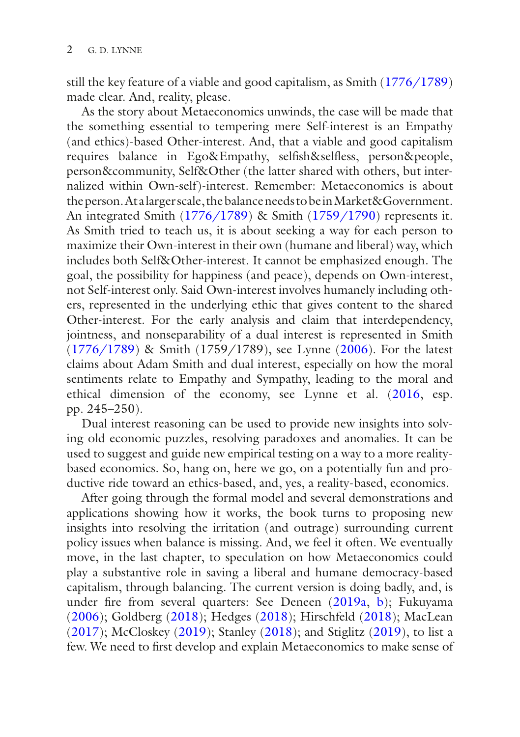still the key feature of a viable and good capitalism, as Smith ([1776/1789\)](#page-31-1) made clear. And, reality, please.

As the story about Metaeconomics unwinds, the case will be made that the something essential to tempering mere Self-interest is an Empathy (and ethics)-based Other-interest. And, that a viable and good capitalism requires balance in Ego&Empathy, selfish&selfless, person&people, person&community, Self&Other (the latter shared with others, but internalized within Own-self)-interest. Remember: Metaeconomics is about the person. At a larger scale, the balance needs to be in Market&Government. An integrated Smith ([1776/1789](#page-31-1)) & Smith [\(1759/1790](#page-31-0)) represents it. As Smith tried to teach us, it is about seeking a way for each person to maximize their Own-interest in their own (humane and liberal) way, which includes both Self&Other-interest. It cannot be emphasized enough. The goal, the possibility for happiness (and peace), depends on Own-interest, not Self-interest only. Said Own-interest involves humanely including others, represented in the underlying ethic that gives content to the shared Other-interest. For the early analysis and claim that interdependency, jointness, and nonseparability of a dual interest is represented in Smith  $(1776/1789)$  $(1776/1789)$  & Smith (1759/1789), see Lynne ([2006](#page-30-0)). For the latest claims about Adam Smith and dual interest, especially on how the moral sentiments relate to Empathy and Sympathy, leading to the moral and ethical dimension of the economy, see Lynne et al. ([2016](#page-30-1), esp. pp. 245–250).

Dual interest reasoning can be used to provide new insights into solving old economic puzzles, resolving paradoxes and anomalies. It can be used to suggest and guide new empirical testing on a way to a more realitybased economics. So, hang on, here we go, on a potentially fun and productive ride toward an ethics-based, and, yes, a reality-based, economics.

After going through the formal model and several demonstrations and applications showing how it works, the book turns to proposing new insights into resolving the irritation (and outrage) surrounding current policy issues when balance is missing. And, we feel it often. We eventually move, in the last chapter, to speculation on how Metaeconomics could play a substantive role in saving a liberal and humane democracy-based capitalism, through balancing. The current version is doing badly, and, is under fire from several quarters: See Deneen ([2019a,](#page-29-1) [b\)](#page-29-2); Fukuyama ([2006](#page-29-3)); Goldberg ([2018](#page-30-2)); Hedges [\(2018](#page-30-3)); Hirschfeld ([2018](#page-30-4)); MacLean ([2017](#page-31-2)); McCloskey [\(2019\)](#page-31-3); Stanley ([2018](#page-32-1)); and Stiglitz ([2019\)](#page-32-2), to list a few. We need to first develop and explain Metaeconomics to make sense of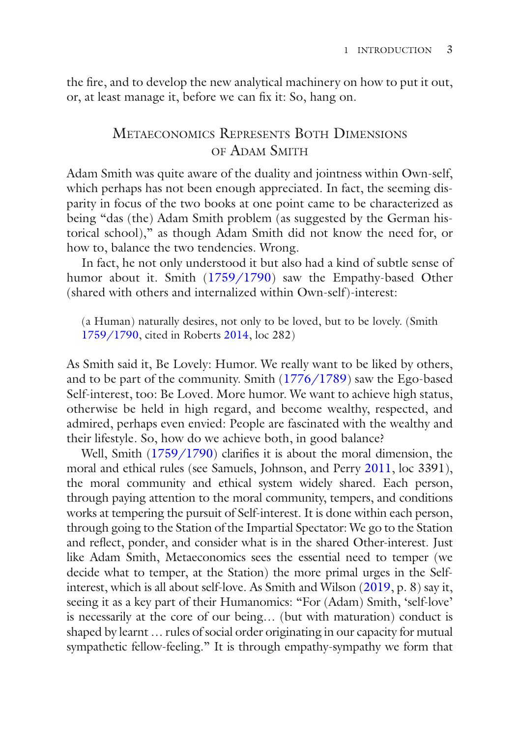the fire, and to develop the new analytical machinery on how to put it out, or, at least manage it, before we can fix it: So, hang on.

### Metaeconomics Represents Both Dimensions of Adam Smith

Adam Smith was quite aware of the duality and jointness within Own-self, which perhaps has not been enough appreciated. In fact, the seeming disparity in focus of the two books at one point came to be characterized as being "das (the) Adam Smith problem (as suggested by the German historical school)," as though Adam Smith did not know the need for, or how to, balance the two tendencies. Wrong.

In fact, he not only understood it but also had a kind of subtle sense of humor about it. Smith ([1759/1790\)](#page-31-0) saw the Empathy-based Other (shared with others and internalized within Own-self)-interest:

(a Human) naturally desires, not only to be loved, but to be lovely. (Smith [1759/1790,](#page-31-0) cited in Roberts [2014,](#page-31-4) loc 282)

As Smith said it, Be Lovely: Humor. We really want to be liked by others, and to be part of the community. Smith ([1776/1789](#page-31-1)) saw the Ego-based Self-interest, too: Be Loved. More humor. We want to achieve high status, otherwise be held in high regard, and become wealthy, respected, and admired, perhaps even envied: People are fascinated with the wealthy and their lifestyle. So, how do we achieve both, in good balance?

Well, Smith [\(1759/1790\)](#page-31-0) clarifies it is about the moral dimension, the moral and ethical rules (see Samuels, Johnson, and Perry [2011](#page-31-5), loc 3391), the moral community and ethical system widely shared. Each person, through paying attention to the moral community, tempers, and conditions works at tempering the pursuit of Self-interest. It is done within each person, through going to the Station of the Impartial Spectator: We go to the Station and reflect, ponder, and consider what is in the shared Other-interest. Just like Adam Smith, Metaeconomics sees the essential need to temper (we decide what to temper, at the Station) the more primal urges in the Selfinterest, which is all about self-love. As Smith and Wilson ([2019](#page-31-6), p. 8) say it, seeing it as a key part of their Humanomics: "For (Adam) Smith, 'self-love' is necessarily at the core of our being… (but with maturation) conduct is shaped by learnt … rules of social order originating in our capacity for mutual sympathetic fellow-feeling." It is through empathy-sympathy we form that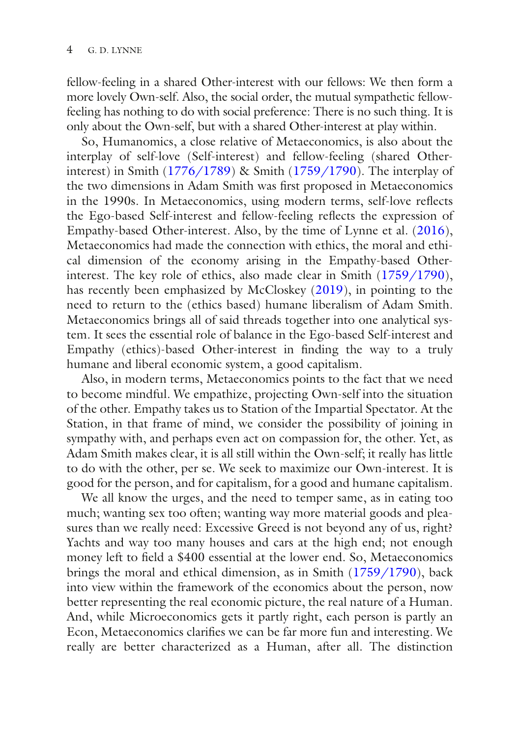fellow-feeling in a shared Other-interest with our fellows: We then form a more lovely Own-self. Also, the social order, the mutual sympathetic fellowfeeling has nothing to do with social preference: There is no such thing. It is only about the Own-self, but with a shared Other-interest at play within.

So, Humanomics, a close relative of Metaeconomics, is also about the interplay of self-love (Self-interest) and fellow-feeling (shared Otherinterest) in Smith [\(1776/1789](#page-31-1)) & Smith ([1759/1790\)](#page-31-0). The interplay of the two dimensions in Adam Smith was first proposed in Metaeconomics in the 1990s. In Metaeconomics, using modern terms, self-love reflects the Ego-based Self-interest and fellow-feeling reflects the expression of Empathy-based Other-interest. Also, by the time of Lynne et al. ([2016](#page-30-1)), Metaeconomics had made the connection with ethics, the moral and ethical dimension of the economy arising in the Empathy-based Otherinterest. The key role of ethics, also made clear in Smith ([1759/1790](#page-31-0)), has recently been emphasized by McCloskey ([2019](#page-31-3)), in pointing to the need to return to the (ethics based) humane liberalism of Adam Smith. Metaeconomics brings all of said threads together into one analytical system. It sees the essential role of balance in the Ego-based Self-interest and Empathy (ethics)-based Other-interest in finding the way to a truly humane and liberal economic system, a good capitalism.

Also, in modern terms, Metaeconomics points to the fact that we need to become mindful. We empathize, projecting Own-self into the situation of the other. Empathy takes us to Station of the Impartial Spectator. At the Station, in that frame of mind, we consider the possibility of joining in sympathy with, and perhaps even act on compassion for, the other. Yet, as Adam Smith makes clear, it is all still within the Own-self; it really has little to do with the other, per se. We seek to maximize our Own-interest. It is good for the person, and for capitalism, for a good and humane capitalism.

We all know the urges, and the need to temper same, as in eating too much; wanting sex too often; wanting way more material goods and pleasures than we really need: Excessive Greed is not beyond any of us, right? Yachts and way too many houses and cars at the high end; not enough money left to field a \$400 essential at the lower end. So, Metaeconomics brings the moral and ethical dimension, as in Smith ([1759/1790](#page-31-0)), back into view within the framework of the economics about the person, now better representing the real economic picture, the real nature of a Human. And, while Microeconomics gets it partly right, each person is partly an Econ, Metaeconomics clarifies we can be far more fun and interesting. We really are better characterized as a Human, after all. The distinction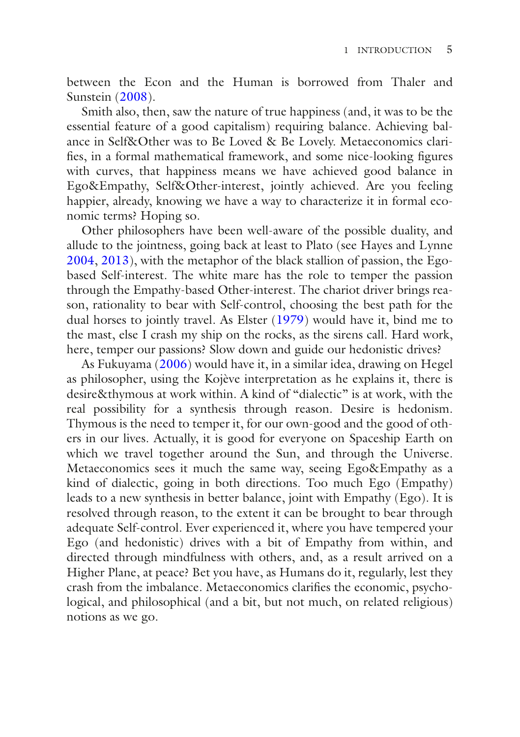between the Econ and the Human is borrowed from Thaler and Sunstein ([2008](#page-32-3)).

Smith also, then, saw the nature of true happiness (and, it was to be the essential feature of a good capitalism) requiring balance. Achieving balance in Self&Other was to Be Loved & Be Lovely. Metaeconomics clarifies, in a formal mathematical framework, and some nice-looking figures with curves, that happiness means we have achieved good balance in Ego&Empathy, Self&Other-interest, jointly achieved. Are you feeling happier, already, knowing we have a way to characterize it in formal economic terms? Hoping so.

Other philosophers have been well-aware of the possible duality, and allude to the jointness, going back at least to Plato (see Hayes and Lynne [2004](#page-30-5), [2013](#page-30-6)), with the metaphor of the black stallion of passion, the Egobased Self-interest. The white mare has the role to temper the passion through the Empathy-based Other-interest. The chariot driver brings reason, rationality to bear with Self-control, choosing the best path for the dual horses to jointly travel. As Elster [\(1979](#page-29-4)) would have it, bind me to the mast, else I crash my ship on the rocks, as the sirens call. Hard work, here, temper our passions? Slow down and guide our hedonistic drives?

As Fukuyama ([2006](#page-29-3)) would have it, in a similar idea, drawing on Hegel as philosopher, using the Kojève interpretation as he explains it, there is desire&thymous at work within. A kind of "dialectic" is at work, with the real possibility for a synthesis through reason. Desire is hedonism. Thymous is the need to temper it, for our own-good and the good of others in our lives. Actually, it is good for everyone on Spaceship Earth on which we travel together around the Sun, and through the Universe. Metaeconomics sees it much the same way, seeing Ego&Empathy as a kind of dialectic, going in both directions. Too much Ego (Empathy) leads to a new synthesis in better balance, joint with Empathy (Ego). It is resolved through reason, to the extent it can be brought to bear through adequate Self-control. Ever experienced it, where you have tempered your Ego (and hedonistic) drives with a bit of Empathy from within, and directed through mindfulness with others, and, as a result arrived on a Higher Plane, at peace? Bet you have, as Humans do it, regularly, lest they crash from the imbalance. Metaeconomics clarifies the economic, psychological, and philosophical (and a bit, but not much, on related religious) notions as we go.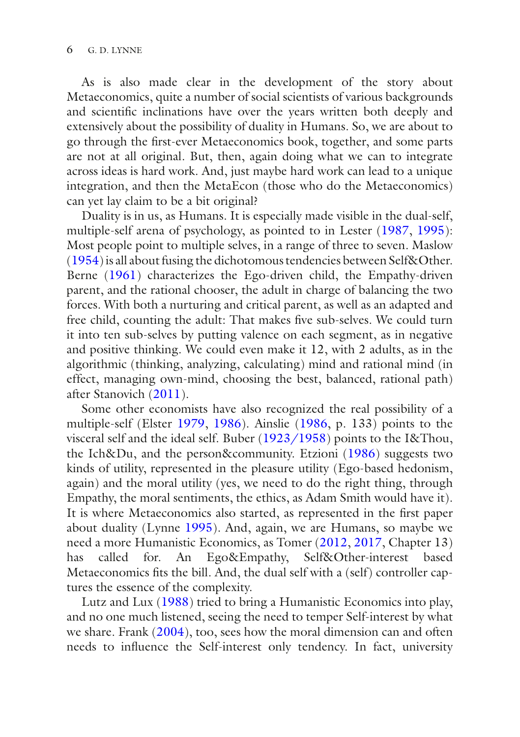As is also made clear in the development of the story about Metaeconomics, quite a number of social scientists of various backgrounds and scientific inclinations have over the years written both deeply and extensively about the possibility of duality in Humans. So, we are about to go through the first-ever Metaeconomics book, together, and some parts are not at all original. But, then, again doing what we can to integrate across ideas is hard work. And, just maybe hard work can lead to a unique integration, and then the MetaEcon (those who do the Metaeconomics) can yet lay claim to be a bit original?

Duality is in us, as Humans. It is especially made visible in the dual-self, multiple-self arena of psychology, as pointed to in Lester ([1987](#page-30-7), [1995](#page-30-8)): Most people point to multiple selves, in a range of three to seven. Maslow ([1954](#page-31-7)) is all about fusing the dichotomous tendencies between Self&Other. Berne ([1961](#page-29-5)) characterizes the Ego-driven child, the Empathy-driven parent, and the rational chooser, the adult in charge of balancing the two forces. With both a nurturing and critical parent, as well as an adapted and free child, counting the adult: That makes five sub-selves. We could turn it into ten sub-selves by putting valence on each segment, as in negative and positive thinking. We could even make it 12, with 2 adults, as in the algorithmic (thinking, analyzing, calculating) mind and rational mind (in effect, managing own-mind, choosing the best, balanced, rational path) after Stanovich ([2011](#page-32-4)).

Some other economists have also recognized the real possibility of a multiple-self (Elster [1979](#page-29-4), [1986\)](#page-29-6). Ainslie ([1986](#page-28-0), p. 133) points to the visceral self and the ideal self. Buber [\(1923/1958](#page-29-7)) points to the I&Thou, the Ich&Du, and the person&community. Etzioni ([1986](#page-29-8)) suggests two kinds of utility, represented in the pleasure utility (Ego-based hedonism, again) and the moral utility (yes, we need to do the right thing, through Empathy, the moral sentiments, the ethics, as Adam Smith would have it). It is where Metaeconomics also started, as represented in the first paper about duality (Lynne [1995\)](#page-30-9). And, again, we are Humans, so maybe we need a more Humanistic Economics, as Tomer [\(2012,](#page-32-5) [2017](#page-32-6), Chapter 13) has called for. An Ego&Empathy, Self&Other-interest based Metaeconomics fits the bill. And, the dual self with a (self) controller captures the essence of the complexity.

Lutz and Lux [\(1988\)](#page-30-10) tried to bring a Humanistic Economics into play, and no one much listened, seeing the need to temper Self-interest by what we share. Frank [\(2004\)](#page-29-9), too, sees how the moral dimension can and often needs to influence the Self-interest only tendency. In fact, university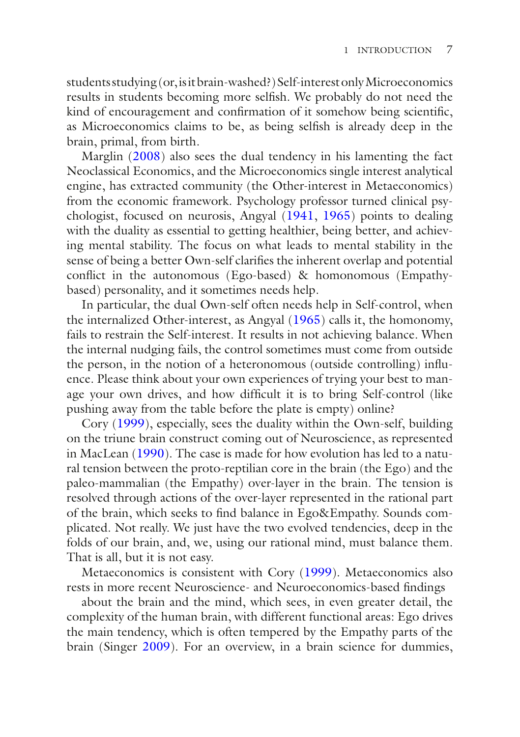students studying (or, is it brain-washed?) Self-interest only Microeconomics results in students becoming more selfish. We probably do not need the kind of encouragement and confirmation of it somehow being scientific, as Microeconomics claims to be, as being selfish is already deep in the brain, primal, from birth.

Marglin [\(2008\)](#page-31-8) also sees the dual tendency in his lamenting the fact Neoclassical Economics, and the Microeconomics single interest analytical engine, has extracted community (the Other-interest in Metaeconomics) from the economic framework. Psychology professor turned clinical psychologist, focused on neurosis, Angyal [\(1941,](#page-28-1) [1965](#page-29-10)) points to dealing with the duality as essential to getting healthier, being better, and achieving mental stability. The focus on what leads to mental stability in the sense of being a better Own-self clarifies the inherent overlap and potential conflict in the autonomous (Ego-based) & homonomous (Empathybased) personality, and it sometimes needs help.

In particular, the dual Own-self often needs help in Self-control, when the internalized Other-interest, as Angyal ([1965\)](#page-29-10) calls it, the homonomy, fails to restrain the Self-interest. It results in not achieving balance. When the internal nudging fails, the control sometimes must come from outside the person, in the notion of a heteronomous (outside controlling) influence. Please think about your own experiences of trying your best to manage your own drives, and how difficult it is to bring Self-control (like pushing away from the table before the plate is empty) online?

Cory [\(1999\)](#page-29-11), especially, sees the duality within the Own-self, building on the triune brain construct coming out of Neuroscience, as represented in MacLean [\(1990\)](#page-31-9). The case is made for how evolution has led to a natural tension between the proto-reptilian core in the brain (the Ego) and the paleo-mammalian (the Empathy) over-layer in the brain. The tension is resolved through actions of the over-layer represented in the rational part of the brain, which seeks to find balance in Ego&Empathy. Sounds complicated. Not really. We just have the two evolved tendencies, deep in the folds of our brain, and, we, using our rational mind, must balance them. That is all, but it is not easy.

Metaeconomics is consistent with Cory ([1999](#page-29-11)). Metaeconomics also rests in more recent Neuroscience- and Neuroeconomics-based findings

about the brain and the mind, which sees, in even greater detail, the complexity of the human brain, with different functional areas: Ego drives the main tendency, which is often tempered by the Empathy parts of the brain (Singer [2009](#page-31-10)). For an overview, in a brain science for dummies,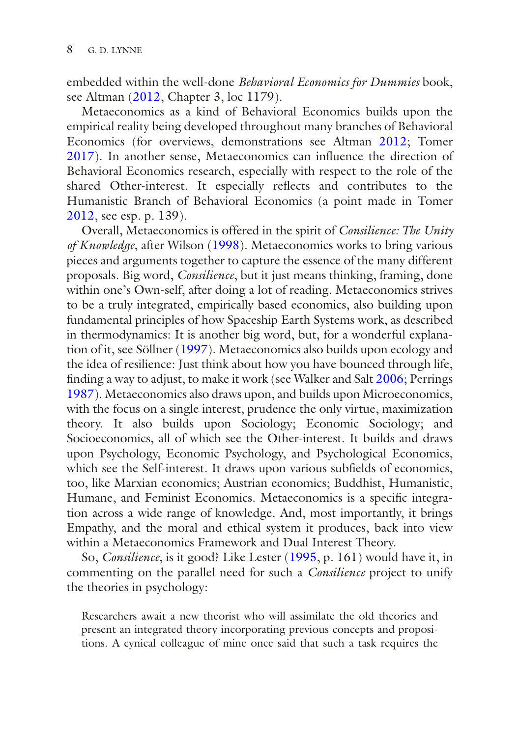embedded within the well-done *Behavioral Economics for Dummies* book, see Altman [\(2012,](#page-28-2) Chapter 3, loc 1179).

Metaeconomics as a kind of Behavioral Economics builds upon the empirical reality being developed throughout many branches of Behavioral Economics (for overviews, demonstrations see Altman [2012;](#page-28-2) Tomer [2017](#page-32-6)). In another sense, Metaeconomics can influence the direction of Behavioral Economics research, especially with respect to the role of the shared Other-interest. It especially reflects and contributes to the Humanistic Branch of Behavioral Economics (a point made in Tomer [2012](#page-32-5), see esp. p. 139).

Overall, Metaeconomics is offered in the spirit of *Consilience: The Unity of Knowledge*, after Wilson [\(1998](#page-32-7)). Metaeconomics works to bring various pieces and arguments together to capture the essence of the many different proposals. Big word, *Consilience*, but it just means thinking, framing, done within one's Own-self, after doing a lot of reading. Metaeconomics strives to be a truly integrated, empirically based economics, also building upon fundamental principles of how Spaceship Earth Systems work, as described in thermodynamics: It is another big word, but, for a wonderful explanation of it, see Söllner [\(1997\)](#page-31-11). Metaeconomics also builds upon ecology and the idea of resilience: Just think about how you have bounced through life, finding a way to adjust, to make it work (see Walker and Salt [2006;](#page-32-8) Perrings [1987](#page-31-12)). Metaeconomics also draws upon, and builds upon Microeconomics, with the focus on a single interest, prudence the only virtue, maximization theory. It also builds upon Sociology; Economic Sociology; and Socioeconomics, all of which see the Other-interest. It builds and draws upon Psychology, Economic Psychology, and Psychological Economics, which see the Self-interest. It draws upon various subfields of economics, too, like Marxian economics; Austrian economics; Buddhist, Humanistic, Humane, and Feminist Economics. Metaeconomics is a specific integration across a wide range of knowledge. And, most importantly, it brings Empathy, and the moral and ethical system it produces, back into view within a Metaeconomics Framework and Dual Interest Theory.

So, *Consilience*, is it good? Like Lester [\(1995,](#page-30-8) p. 161) would have it, in commenting on the parallel need for such a *Consilience* project to unify the theories in psychology:

Researchers await a new theorist who will assimilate the old theories and present an integrated theory incorporating previous concepts and propositions. A cynical colleague of mine once said that such a task requires the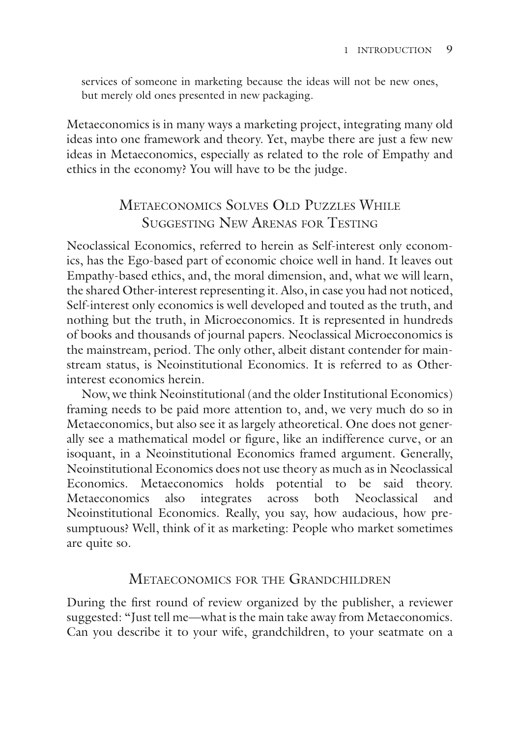services of someone in marketing because the ideas will not be new ones, but merely old ones presented in new packaging.

Metaeconomics is in many ways a marketing project, integrating many old ideas into one framework and theory. Yet, maybe there are just a few new ideas in Metaeconomics, especially as related to the role of Empathy and ethics in the economy? You will have to be the judge.

### Metaeconomics Solves Old Puzzles While Suggesting New Arenas for Testing

Neoclassical Economics, referred to herein as Self-interest only economics, has the Ego-based part of economic choice well in hand. It leaves out Empathy-based ethics, and, the moral dimension, and, what we will learn, the shared Other-interest representing it. Also, in case you had not noticed, Self-interest only economics is well developed and touted as the truth, and nothing but the truth, in Microeconomics. It is represented in hundreds of books and thousands of journal papers. Neoclassical Microeconomics is the mainstream, period. The only other, albeit distant contender for mainstream status, is Neoinstitutional Economics. It is referred to as Otherinterest economics herein.

Now, we think Neoinstitutional (and the older Institutional Economics) framing needs to be paid more attention to, and, we very much do so in Metaeconomics, but also see it as largely atheoretical. One does not generally see a mathematical model or figure, like an indifference curve, or an isoquant, in a Neoinstitutional Economics framed argument. Generally, Neoinstitutional Economics does not use theory as much as in Neoclassical Economics. Metaeconomics holds potential to be said theory. Metaeconomics also integrates across both Neoclassical and Neoinstitutional Economics. Really, you say, how audacious, how presumptuous? Well, think of it as marketing: People who market sometimes are quite so.

#### METAECONOMICS FOR THE GRANDCHILDREN

During the first round of review organized by the publisher, a reviewer suggested: "Just tell me—what is the main take away from Metaeconomics. Can you describe it to your wife, grandchildren, to your seatmate on a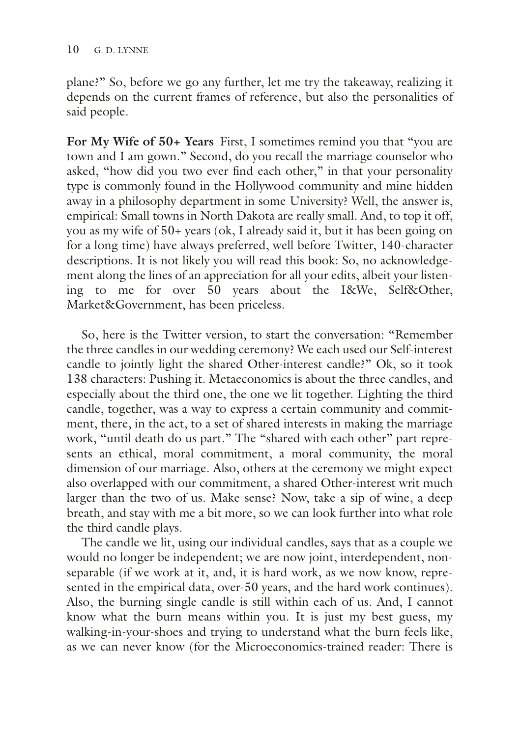plane?" So, before we go any further, let me try the takeaway, realizing it depends on the current frames of reference, but also the personalities of said people.

**For My Wife of 50+ Years** First, I sometimes remind you that "you are town and I am gown." Second, do you recall the marriage counselor who asked, "how did you two ever find each other," in that your personality type is commonly found in the Hollywood community and mine hidden away in a philosophy department in some University? Well, the answer is, empirical: Small towns in North Dakota are really small. And, to top it off, you as my wife of 50+ years (ok, I already said it, but it has been going on for a long time) have always preferred, well before Twitter, 140-character descriptions. It is not likely you will read this book: So, no acknowledgement along the lines of an appreciation for all your edits, albeit your listening to me for over 50 years about the I&We, Self&Other, Market&Government, has been priceless.

So, here is the Twitter version, to start the conversation: "Remember the three candles in our wedding ceremony? We each used our Self-interest candle to jointly light the shared Other-interest candle?" Ok, so it took 138 characters: Pushing it. Metaeconomics is about the three candles, and especially about the third one, the one we lit together. Lighting the third candle, together, was a way to express a certain community and commitment, there, in the act, to a set of shared interests in making the marriage work, "until death do us part." The "shared with each other" part represents an ethical, moral commitment, a moral community, the moral dimension of our marriage. Also, others at the ceremony we might expect also overlapped with our commitment, a shared Other-interest writ much larger than the two of us. Make sense? Now, take a sip of wine, a deep breath, and stay with me a bit more, so we can look further into what role the third candle plays.

The candle we lit, using our individual candles, says that as a couple we would no longer be independent; we are now joint, interdependent, nonseparable (if we work at it, and, it is hard work, as we now know, represented in the empirical data, over-50 years, and the hard work continues). Also, the burning single candle is still within each of us. And, I cannot know what the burn means within you. It is just my best guess, my walking-in-your-shoes and trying to understand what the burn feels like, as we can never know (for the Microeconomics-trained reader: There is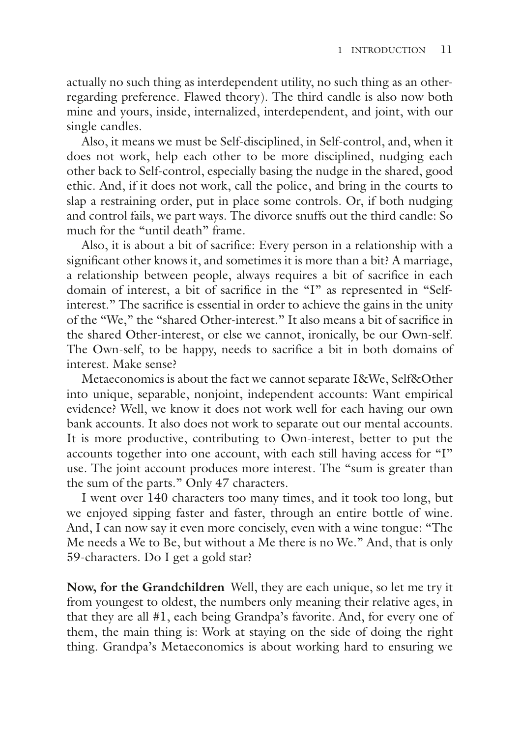actually no such thing as interdependent utility, no such thing as an otherregarding preference. Flawed theory). The third candle is also now both mine and yours, inside, internalized, interdependent, and joint, with our single candles.

Also, it means we must be Self-disciplined, in Self-control, and, when it does not work, help each other to be more disciplined, nudging each other back to Self-control, especially basing the nudge in the shared, good ethic. And, if it does not work, call the police, and bring in the courts to slap a restraining order, put in place some controls. Or, if both nudging and control fails, we part ways. The divorce snuffs out the third candle: So much for the "until death" frame.

Also, it is about a bit of sacrifice: Every person in a relationship with a significant other knows it, and sometimes it is more than a bit? A marriage, a relationship between people, always requires a bit of sacrifice in each domain of interest, a bit of sacrifice in the "I" as represented in "Selfinterest." The sacrifice is essential in order to achieve the gains in the unity of the "We," the "shared Other-interest." It also means a bit of sacrifice in the shared Other-interest, or else we cannot, ironically, be our Own-self. The Own-self, to be happy, needs to sacrifice a bit in both domains of interest. Make sense?

Metaeconomics is about the fact we cannot separate I&We, Self&Other into unique, separable, nonjoint, independent accounts: Want empirical evidence? Well, we know it does not work well for each having our own bank accounts. It also does not work to separate out our mental accounts. It is more productive, contributing to Own-interest, better to put the accounts together into one account, with each still having access for "I" use. The joint account produces more interest. The "sum is greater than the sum of the parts." Only 47 characters.

I went over 140 characters too many times, and it took too long, but we enjoyed sipping faster and faster, through an entire bottle of wine. And, I can now say it even more concisely, even with a wine tongue: "The Me needs a We to Be, but without a Me there is no We." And, that is only 59-characters. Do I get a gold star?

**Now, for the Grandchildren** Well, they are each unique, so let me try it from youngest to oldest, the numbers only meaning their relative ages, in that they are all #1, each being Grandpa's favorite. And, for every one of them, the main thing is: Work at staying on the side of doing the right thing. Grandpa's Metaeconomics is about working hard to ensuring we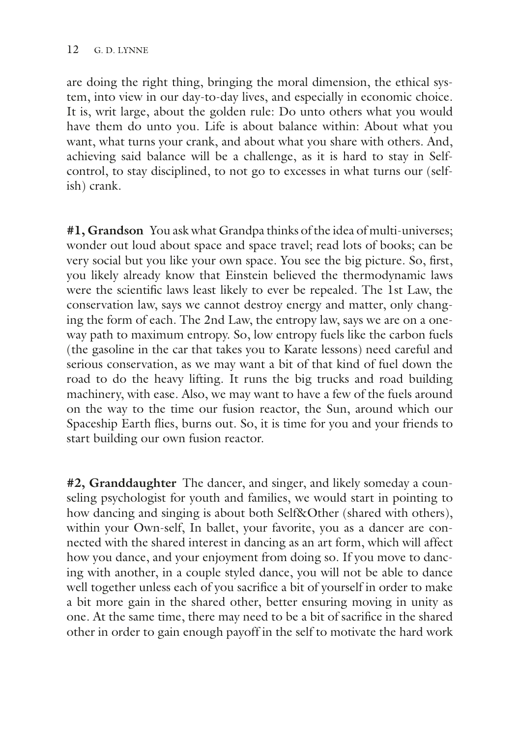are doing the right thing, bringing the moral dimension, the ethical system, into view in our day-to-day lives, and especially in economic choice. It is, writ large, about the golden rule: Do unto others what you would have them do unto you. Life is about balance within: About what you want, what turns your crank, and about what you share with others. And, achieving said balance will be a challenge, as it is hard to stay in Selfcontrol, to stay disciplined, to not go to excesses in what turns our (selfish) crank.

**#1, Grandson** You ask what Grandpa thinks of the idea of multi-universes; wonder out loud about space and space travel; read lots of books; can be very social but you like your own space. You see the big picture. So, first, you likely already know that Einstein believed the thermodynamic laws were the scientific laws least likely to ever be repealed. The 1st Law, the conservation law, says we cannot destroy energy and matter, only changing the form of each. The 2nd Law, the entropy law, says we are on a oneway path to maximum entropy. So, low entropy fuels like the carbon fuels (the gasoline in the car that takes you to Karate lessons) need careful and serious conservation, as we may want a bit of that kind of fuel down the road to do the heavy lifting. It runs the big trucks and road building machinery, with ease. Also, we may want to have a few of the fuels around on the way to the time our fusion reactor, the Sun, around which our Spaceship Earth flies, burns out. So, it is time for you and your friends to start building our own fusion reactor.

**#2, Granddaughter** The dancer, and singer, and likely someday a counseling psychologist for youth and families, we would start in pointing to how dancing and singing is about both Self&Other (shared with others), within your Own-self, In ballet, your favorite, you as a dancer are connected with the shared interest in dancing as an art form, which will affect how you dance, and your enjoyment from doing so. If you move to dancing with another, in a couple styled dance, you will not be able to dance well together unless each of you sacrifice a bit of yourself in order to make a bit more gain in the shared other, better ensuring moving in unity as one. At the same time, there may need to be a bit of sacrifice in the shared other in order to gain enough payoff in the self to motivate the hard work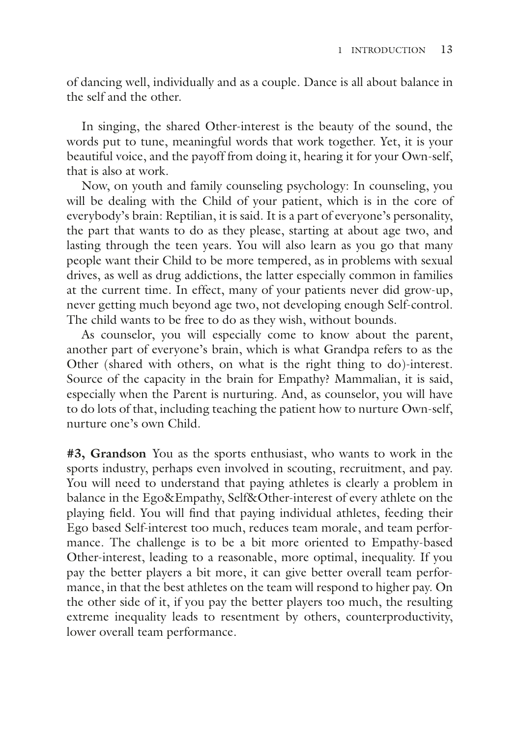of dancing well, individually and as a couple. Dance is all about balance in the self and the other.

In singing, the shared Other-interest is the beauty of the sound, the words put to tune, meaningful words that work together. Yet, it is your beautiful voice, and the payoff from doing it, hearing it for your Own-self, that is also at work.

Now, on youth and family counseling psychology: In counseling, you will be dealing with the Child of your patient, which is in the core of everybody's brain: Reptilian, it is said. It is a part of everyone's personality, the part that wants to do as they please, starting at about age two, and lasting through the teen years. You will also learn as you go that many people want their Child to be more tempered, as in problems with sexual drives, as well as drug addictions, the latter especially common in families at the current time. In effect, many of your patients never did grow-up, never getting much beyond age two, not developing enough Self-control. The child wants to be free to do as they wish, without bounds.

As counselor, you will especially come to know about the parent, another part of everyone's brain, which is what Grandpa refers to as the Other (shared with others, on what is the right thing to do)-interest. Source of the capacity in the brain for Empathy? Mammalian, it is said, especially when the Parent is nurturing. And, as counselor, you will have to do lots of that, including teaching the patient how to nurture Own-self, nurture one's own Child.

**#3, Grandson** You as the sports enthusiast, who wants to work in the sports industry, perhaps even involved in scouting, recruitment, and pay. You will need to understand that paying athletes is clearly a problem in balance in the Ego&Empathy, Self&Other-interest of every athlete on the playing field. You will find that paying individual athletes, feeding their Ego based Self-interest too much, reduces team morale, and team performance. The challenge is to be a bit more oriented to Empathy-based Other-interest, leading to a reasonable, more optimal, inequality. If you pay the better players a bit more, it can give better overall team performance, in that the best athletes on the team will respond to higher pay. On the other side of it, if you pay the better players too much, the resulting extreme inequality leads to resentment by others, counterproductivity, lower overall team performance.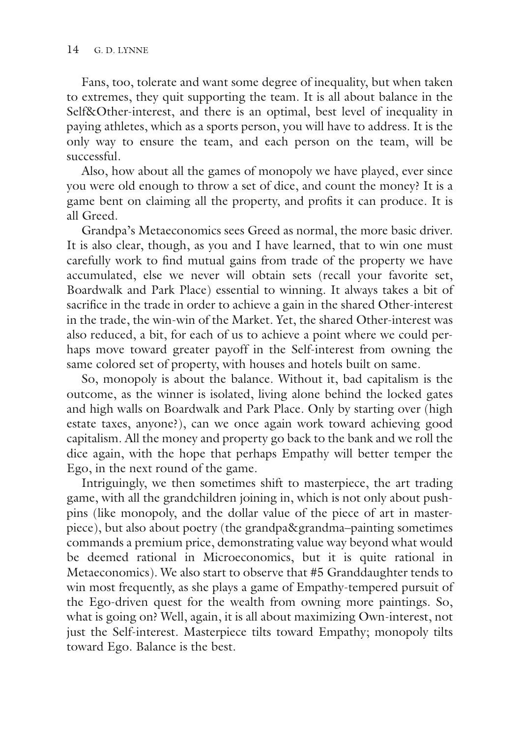Fans, too, tolerate and want some degree of inequality, but when taken to extremes, they quit supporting the team. It is all about balance in the Self&Other-interest, and there is an optimal, best level of inequality in paying athletes, which as a sports person, you will have to address. It is the only way to ensure the team, and each person on the team, will be successful.

Also, how about all the games of monopoly we have played, ever since you were old enough to throw a set of dice, and count the money? It is a game bent on claiming all the property, and profits it can produce. It is all Greed.

Grandpa's Metaeconomics sees Greed as normal, the more basic driver. It is also clear, though, as you and I have learned, that to win one must carefully work to find mutual gains from trade of the property we have accumulated, else we never will obtain sets (recall your favorite set, Boardwalk and Park Place) essential to winning. It always takes a bit of sacrifice in the trade in order to achieve a gain in the shared Other-interest in the trade, the win-win of the Market. Yet, the shared Other-interest was also reduced, a bit, for each of us to achieve a point where we could perhaps move toward greater payoff in the Self-interest from owning the same colored set of property, with houses and hotels built on same.

So, monopoly is about the balance. Without it, bad capitalism is the outcome, as the winner is isolated, living alone behind the locked gates and high walls on Boardwalk and Park Place. Only by starting over (high estate taxes, anyone?), can we once again work toward achieving good capitalism. All the money and property go back to the bank and we roll the dice again, with the hope that perhaps Empathy will better temper the Ego, in the next round of the game.

Intriguingly, we then sometimes shift to masterpiece, the art trading game, with all the grandchildren joining in, which is not only about pushpins (like monopoly, and the dollar value of the piece of art in masterpiece), but also about poetry (the grandpa&grandma–painting sometimes commands a premium price, demonstrating value way beyond what would be deemed rational in Microeconomics, but it is quite rational in Metaeconomics). We also start to observe that #5 Granddaughter tends to win most frequently, as she plays a game of Empathy-tempered pursuit of the Ego-driven quest for the wealth from owning more paintings. So, what is going on? Well, again, it is all about maximizing Own-interest, not just the Self-interest. Masterpiece tilts toward Empathy; monopoly tilts toward Ego. Balance is the best.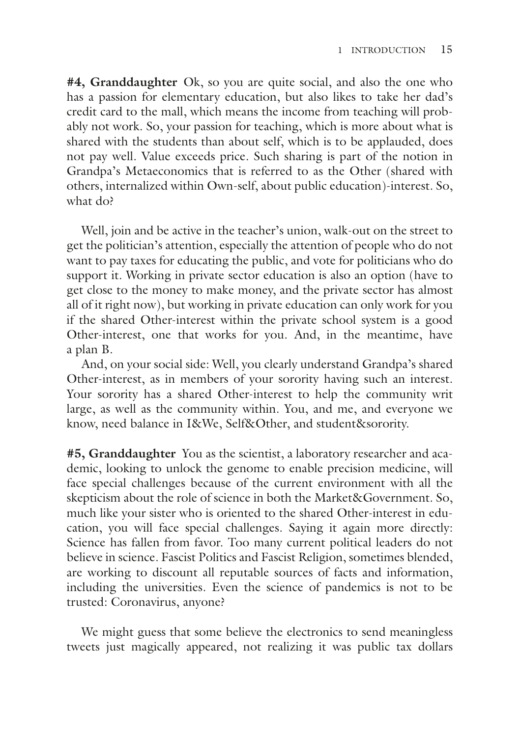**#4, Granddaughter** Ok, so you are quite social, and also the one who has a passion for elementary education, but also likes to take her dad's credit card to the mall, which means the income from teaching will probably not work. So, your passion for teaching, which is more about what is shared with the students than about self, which is to be applauded, does not pay well. Value exceeds price. Such sharing is part of the notion in Grandpa's Metaeconomics that is referred to as the Other (shared with others, internalized within Own-self, about public education)-interest. So, what do?

Well, join and be active in the teacher's union, walk-out on the street to get the politician's attention, especially the attention of people who do not want to pay taxes for educating the public, and vote for politicians who do support it. Working in private sector education is also an option (have to get close to the money to make money, and the private sector has almost all of it right now), but working in private education can only work for you if the shared Other-interest within the private school system is a good Other-interest, one that works for you. And, in the meantime, have a plan B.

And, on your social side: Well, you clearly understand Grandpa's shared Other-interest, as in members of your sorority having such an interest. Your sorority has a shared Other-interest to help the community writ large, as well as the community within. You, and me, and everyone we know, need balance in I&We, Self&Other, and student&sorority.

**#5, Granddaughter** You as the scientist, a laboratory researcher and academic, looking to unlock the genome to enable precision medicine, will face special challenges because of the current environment with all the skepticism about the role of science in both the Market&Government. So, much like your sister who is oriented to the shared Other-interest in education, you will face special challenges. Saying it again more directly: Science has fallen from favor. Too many current political leaders do not believe in science. Fascist Politics and Fascist Religion, sometimes blended, are working to discount all reputable sources of facts and information, including the universities. Even the science of pandemics is not to be trusted: Coronavirus, anyone?

We might guess that some believe the electronics to send meaningless tweets just magically appeared, not realizing it was public tax dollars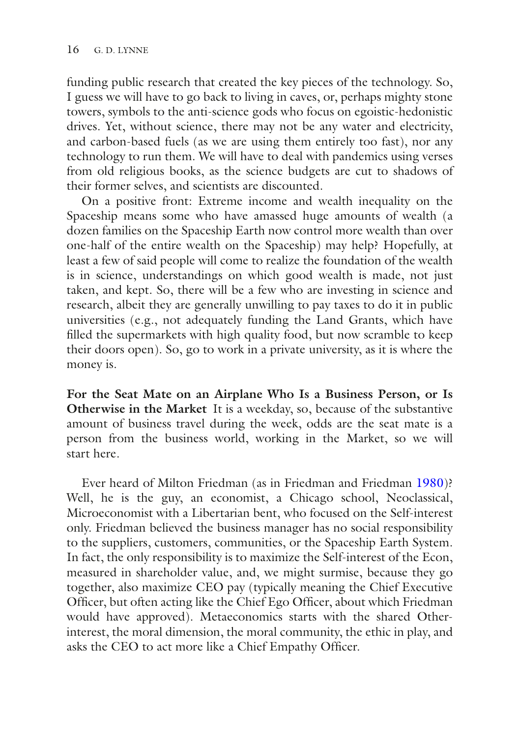funding public research that created the key pieces of the technology. So, I guess we will have to go back to living in caves, or, perhaps mighty stone towers, symbols to the anti-science gods who focus on egoistic-hedonistic drives. Yet, without science, there may not be any water and electricity, and carbon-based fuels (as we are using them entirely too fast), nor any technology to run them. We will have to deal with pandemics using verses from old religious books, as the science budgets are cut to shadows of their former selves, and scientists are discounted.

On a positive front: Extreme income and wealth inequality on the Spaceship means some who have amassed huge amounts of wealth (a dozen families on the Spaceship Earth now control more wealth than over one-half of the entire wealth on the Spaceship) may help? Hopefully, at least a few of said people will come to realize the foundation of the wealth is in science, understandings on which good wealth is made, not just taken, and kept. So, there will be a few who are investing in science and research, albeit they are generally unwilling to pay taxes to do it in public universities (e.g., not adequately funding the Land Grants, which have filled the supermarkets with high quality food, but now scramble to keep their doors open). So, go to work in a private university, as it is where the money is.

**For the Seat Mate on an Airplane Who Is a Business Person, or Is Otherwise in the Market** It is a weekday, so, because of the substantive amount of business travel during the week, odds are the seat mate is a person from the business world, working in the Market, so we will start here.

Ever heard of Milton Friedman (as in Friedman and Friedman [1980](#page-29-12))? Well, he is the guy, an economist, a Chicago school, Neoclassical, Microeconomist with a Libertarian bent, who focused on the Self-interest only. Friedman believed the business manager has no social responsibility to the suppliers, customers, communities, or the Spaceship Earth System. In fact, the only responsibility is to maximize the Self-interest of the Econ, measured in shareholder value, and, we might surmise, because they go together, also maximize CEO pay (typically meaning the Chief Executive Officer, but often acting like the Chief Ego Officer, about which Friedman would have approved). Metaeconomics starts with the shared Otherinterest, the moral dimension, the moral community, the ethic in play, and asks the CEO to act more like a Chief Empathy Officer.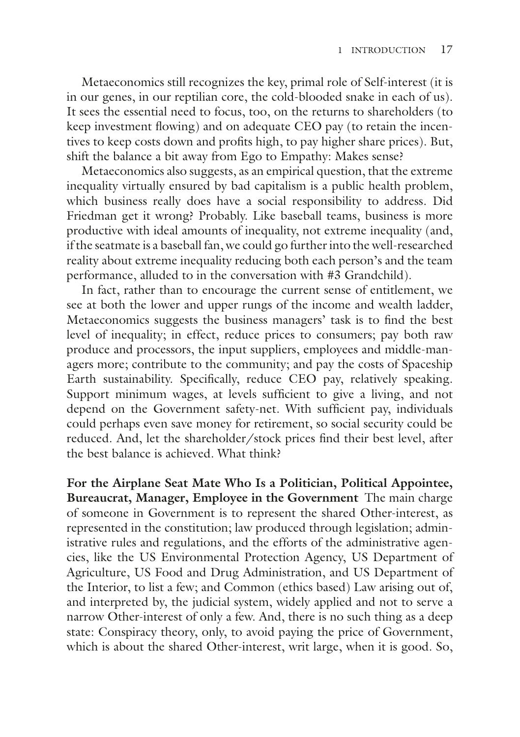Metaeconomics still recognizes the key, primal role of Self-interest (it is in our genes, in our reptilian core, the cold-blooded snake in each of us). It sees the essential need to focus, too, on the returns to shareholders (to keep investment flowing) and on adequate CEO pay (to retain the incentives to keep costs down and profits high, to pay higher share prices). But, shift the balance a bit away from Ego to Empathy: Makes sense?

Metaeconomics also suggests, as an empirical question, that the extreme inequality virtually ensured by bad capitalism is a public health problem, which business really does have a social responsibility to address. Did Friedman get it wrong? Probably. Like baseball teams, business is more productive with ideal amounts of inequality, not extreme inequality (and, if the seatmate is a baseball fan, we could go further into the well-researched reality about extreme inequality reducing both each person's and the team performance, alluded to in the conversation with #3 Grandchild).

In fact, rather than to encourage the current sense of entitlement, we see at both the lower and upper rungs of the income and wealth ladder, Metaeconomics suggests the business managers' task is to find the best level of inequality; in effect, reduce prices to consumers; pay both raw produce and processors, the input suppliers, employees and middle-managers more; contribute to the community; and pay the costs of Spaceship Earth sustainability. Specifically, reduce CEO pay, relatively speaking. Support minimum wages, at levels sufficient to give a living, and not depend on the Government safety-net. With sufficient pay, individuals could perhaps even save money for retirement, so social security could be reduced. And, let the shareholder/stock prices find their best level, after the best balance is achieved. What think?

**For the Airplane Seat Mate Who Is a Politician, Political Appointee, Bureaucrat, Manager, Employee in the Government** The main charge of someone in Government is to represent the shared Other-interest, as represented in the constitution; law produced through legislation; administrative rules and regulations, and the efforts of the administrative agencies, like the US Environmental Protection Agency, US Department of Agriculture, US Food and Drug Administration, and US Department of the Interior, to list a few; and Common (ethics based) Law arising out of, and interpreted by, the judicial system, widely applied and not to serve a narrow Other-interest of only a few. And, there is no such thing as a deep state: Conspiracy theory, only, to avoid paying the price of Government, which is about the shared Other-interest, writ large, when it is good. So,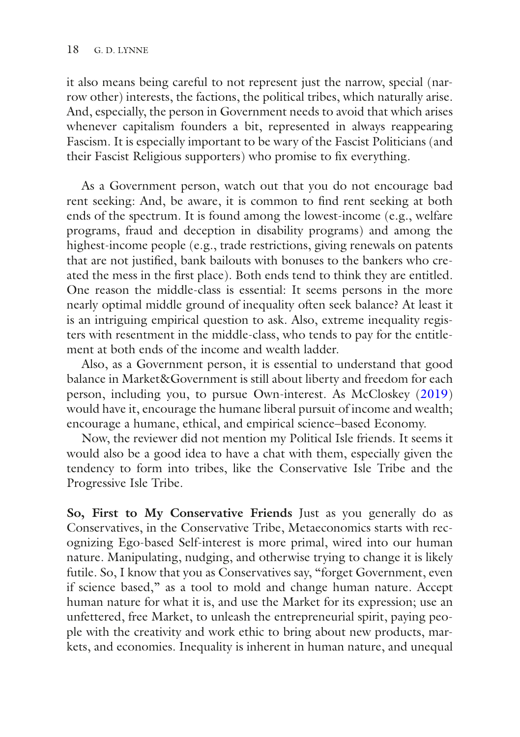it also means being careful to not represent just the narrow, special (narrow other) interests, the factions, the political tribes, which naturally arise. And, especially, the person in Government needs to avoid that which arises whenever capitalism founders a bit, represented in always reappearing Fascism. It is especially important to be wary of the Fascist Politicians (and their Fascist Religious supporters) who promise to fix everything.

As a Government person, watch out that you do not encourage bad rent seeking: And, be aware, it is common to find rent seeking at both ends of the spectrum. It is found among the lowest-income (e.g., welfare programs, fraud and deception in disability programs) and among the highest-income people (e.g., trade restrictions, giving renewals on patents that are not justified, bank bailouts with bonuses to the bankers who created the mess in the first place). Both ends tend to think they are entitled. One reason the middle-class is essential: It seems persons in the more nearly optimal middle ground of inequality often seek balance? At least it is an intriguing empirical question to ask. Also, extreme inequality registers with resentment in the middle-class, who tends to pay for the entitlement at both ends of the income and wealth ladder.

Also, as a Government person, it is essential to understand that good balance in Market&Government is still about liberty and freedom for each person, including you, to pursue Own-interest. As McCloskey [\(2019\)](#page-31-3) would have it, encourage the humane liberal pursuit of income and wealth; encourage a humane, ethical, and empirical science–based Economy.

Now, the reviewer did not mention my Political Isle friends. It seems it would also be a good idea to have a chat with them, especially given the tendency to form into tribes, like the Conservative Isle Tribe and the Progressive Isle Tribe.

**So, First to My Conservative Friends** Just as you generally do as Conservatives, in the Conservative Tribe, Metaeconomics starts with recognizing Ego-based Self-interest is more primal, wired into our human nature. Manipulating, nudging, and otherwise trying to change it is likely futile. So, I know that you as Conservatives say, "forget Government, even if science based," as a tool to mold and change human nature. Accept human nature for what it is, and use the Market for its expression; use an unfettered, free Market, to unleash the entrepreneurial spirit, paying people with the creativity and work ethic to bring about new products, markets, and economies. Inequality is inherent in human nature, and unequal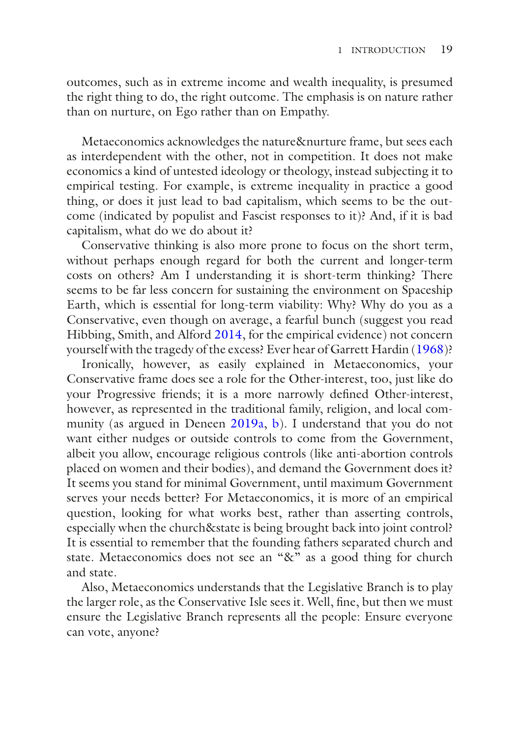outcomes, such as in extreme income and wealth inequality, is presumed the right thing to do, the right outcome. The emphasis is on nature rather than on nurture, on Ego rather than on Empathy.

Metaeconomics acknowledges the nature&nurture frame, but sees each as interdependent with the other, not in competition. It does not make economics a kind of untested ideology or theology, instead subjecting it to empirical testing. For example, is extreme inequality in practice a good thing, or does it just lead to bad capitalism, which seems to be the outcome (indicated by populist and Fascist responses to it)? And, if it is bad capitalism, what do we do about it?

Conservative thinking is also more prone to focus on the short term, without perhaps enough regard for both the current and longer-term costs on others? Am I understanding it is short-term thinking? There seems to be far less concern for sustaining the environment on Spaceship Earth, which is essential for long-term viability: Why? Why do you as a Conservative, even though on average, a fearful bunch (suggest you read Hibbing, Smith, and Alford [2014](#page-30-11), for the empirical evidence) not concern yourself with the tragedy of the excess? Ever hear of Garrett Hardin ([1968](#page-30-12))?

Ironically, however, as easily explained in Metaeconomics, your Conservative frame does see a role for the Other-interest, too, just like do your Progressive friends; it is a more narrowly defined Other-interest, however, as represented in the traditional family, religion, and local community (as argued in Deneen [2019a,](#page-29-1) [b](#page-29-2)). I understand that you do not want either nudges or outside controls to come from the Government, albeit you allow, encourage religious controls (like anti-abortion controls placed on women and their bodies), and demand the Government does it? It seems you stand for minimal Government, until maximum Government serves your needs better? For Metaeconomics, it is more of an empirical question, looking for what works best, rather than asserting controls, especially when the church&state is being brought back into joint control? It is essential to remember that the founding fathers separated church and state. Metaeconomics does not see an "&" as a good thing for church and state.

Also, Metaeconomics understands that the Legislative Branch is to play the larger role, as the Conservative Isle sees it. Well, fine, but then we must ensure the Legislative Branch represents all the people: Ensure everyone can vote, anyone?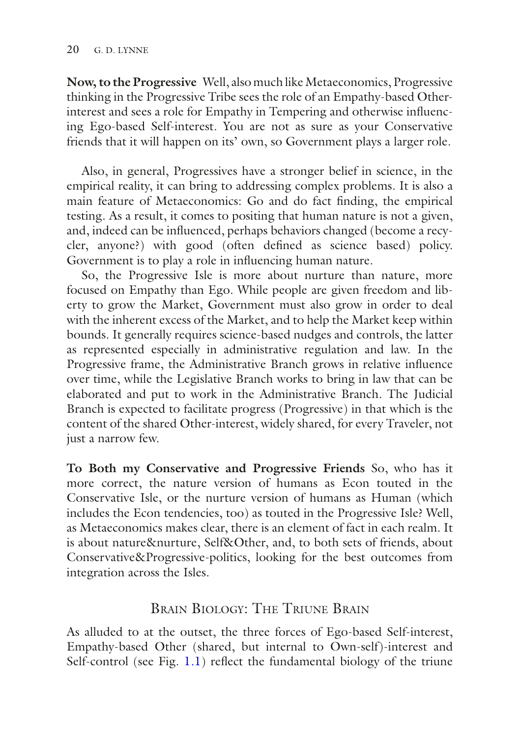**Now, to the Progressive** Well, also much like Metaeconomics, Progressive thinking in the Progressive Tribe sees the role of an Empathy-based Otherinterest and sees a role for Empathy in Tempering and otherwise influencing Ego-based Self-interest. You are not as sure as your Conservative friends that it will happen on its' own, so Government plays a larger role.

Also, in general, Progressives have a stronger belief in science, in the empirical reality, it can bring to addressing complex problems. It is also a main feature of Metaeconomics: Go and do fact finding, the empirical testing. As a result, it comes to positing that human nature is not a given, and, indeed can be influenced, perhaps behaviors changed (become a recycler, anyone?) with good (often defined as science based) policy. Government is to play a role in influencing human nature.

So, the Progressive Isle is more about nurture than nature, more focused on Empathy than Ego. While people are given freedom and liberty to grow the Market, Government must also grow in order to deal with the inherent excess of the Market, and to help the Market keep within bounds. It generally requires science-based nudges and controls, the latter as represented especially in administrative regulation and law. In the Progressive frame, the Administrative Branch grows in relative influence over time, while the Legislative Branch works to bring in law that can be elaborated and put to work in the Administrative Branch. The Judicial Branch is expected to facilitate progress (Progressive) in that which is the content of the shared Other-interest, widely shared, for every Traveler, not just a narrow few.

**To Both my Conservative and Progressive Friends** So, who has it more correct, the nature version of humans as Econ touted in the Conservative Isle, or the nurture version of humans as Human (which includes the Econ tendencies, too) as touted in the Progressive Isle? Well, as Metaeconomics makes clear, there is an element of fact in each realm. It is about nature&nurture, Self&Other, and, to both sets of friends, about Conservative&Progressive-politics, looking for the best outcomes from integration across the Isles.

### Brain Biology: The Triune Brain

As alluded to at the outset, the three forces of Ego-based Self-interest, Empathy-based Other (shared, but internal to Own-self)-interest and Self-control (see Fig. [1.1](#page-21-0)) reflect the fundamental biology of the triune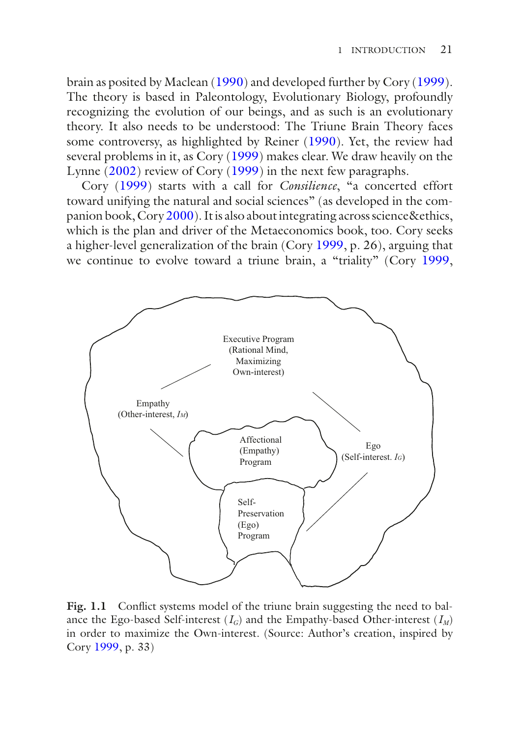brain as posited by Maclean [\(1990\)](#page-31-9) and developed further by Cory ([1999](#page-29-11)). The theory is based in Paleontology, Evolutionary Biology, profoundly recognizing the evolution of our beings, and as such is an evolutionary theory. It also needs to be understood: The Triune Brain Theory faces some controversy, as highlighted by Reiner ([1990](#page-31-13)). Yet, the review had several problems in it, as Cory ([1999\)](#page-29-11) makes clear. We draw heavily on the Lynne ([2002](#page-30-13)) review of Cory ([1999](#page-29-11)) in the next few paragraphs.

Cory ([1999\)](#page-29-11) starts with a call for *Consilience*, "a concerted effort toward unifying the natural and social sciences" (as developed in the com-panion book, Cory [2000](#page-29-13)). It is also about integrating across science& ethics, which is the plan and driver of the Metaeconomics book, too. Cory seeks a higher-level generalization of the brain (Cory [1999](#page-29-11), p. 26), arguing that we continue to evolve toward a triune brain, a "triality" (Cory [1999,](#page-29-11)

<span id="page-21-0"></span>

Fig. 1.1 Conflict systems model of the triune brain suggesting the need to balance the Ego-based Self-interest  $(I_G)$  and the Empathy-based Other-interest  $(I_M)$ in order to maximize the Own-interest. (Source: Author's creation, inspired by Cory [1999](#page-29-11), p. 33)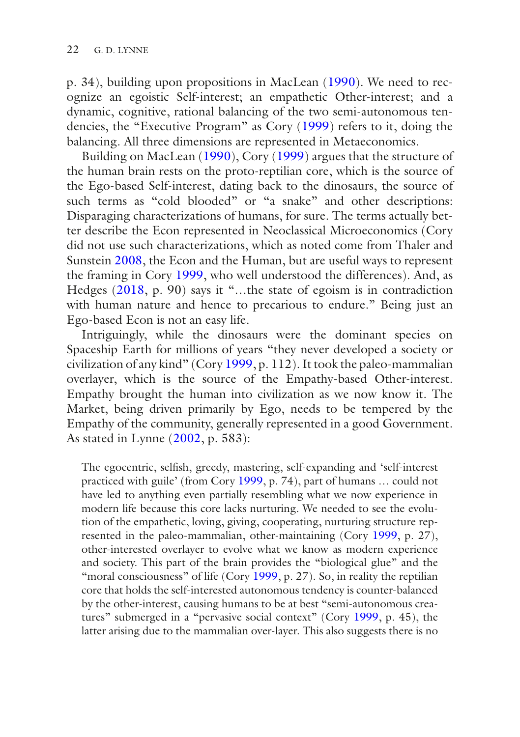p. 34), building upon propositions in MacLean ([1990\)](#page-31-9). We need to recognize an egoistic Self-interest; an empathetic Other-interest; and a dynamic, cognitive, rational balancing of the two semi-autonomous tendencies, the "Executive Program" as Cory [\(1999\)](#page-29-11) refers to it, doing the balancing. All three dimensions are represented in Metaeconomics.

Building on MacLean ([1990](#page-31-9)), Cory [\(1999\)](#page-29-11) argues that the structure of the human brain rests on the proto-reptilian core, which is the source of the Ego-based Self-interest, dating back to the dinosaurs, the source of such terms as "cold blooded" or "a snake" and other descriptions: Disparaging characterizations of humans, for sure. The terms actually better describe the Econ represented in Neoclassical Microeconomics (Cory did not use such characterizations, which as noted come from Thaler and Sunstein [2008,](#page-32-3) the Econ and the Human, but are useful ways to represent the framing in Cory [1999](#page-29-11), who well understood the differences). And, as Hedges [\(2018,](#page-30-3) p. 90) says it "…the state of egoism is in contradiction with human nature and hence to precarious to endure." Being just an Ego-based Econ is not an easy life.

Intriguingly, while the dinosaurs were the dominant species on Spaceship Earth for millions of years "they never developed a society or civilization of any kind" (Cory [1999](#page-29-11), p. 112). It took the paleo-mammalian overlayer, which is the source of the Empathy-based Other-interest. Empathy brought the human into civilization as we now know it. The Market, being driven primarily by Ego, needs to be tempered by the Empathy of the community, generally represented in a good Government. As stated in Lynne ([2002](#page-30-13), p. 583):

The egocentric, selfish, greedy, mastering, self-expanding and 'self-interest practiced with guile' (from Cory [1999](#page-29-11), p. 74), part of humans … could not have led to anything even partially resembling what we now experience in modern life because this core lacks nurturing. We needed to see the evolution of the empathetic, loving, giving, cooperating, nurturing structure represented in the paleo-mammalian, other-maintaining (Cory [1999,](#page-29-11) p. 27), other-interested overlayer to evolve what we know as modern experience and society. This part of the brain provides the "biological glue" and the "moral consciousness" of life (Cory [1999](#page-29-11), p. 27). So, in reality the reptilian core that holds the self-interested autonomous tendency is counter-balanced by the other-interest, causing humans to be at best "semi-autonomous creatures" submerged in a "pervasive social context" (Cory [1999,](#page-29-11) p. 45), the latter arising due to the mammalian over-layer. This also suggests there is no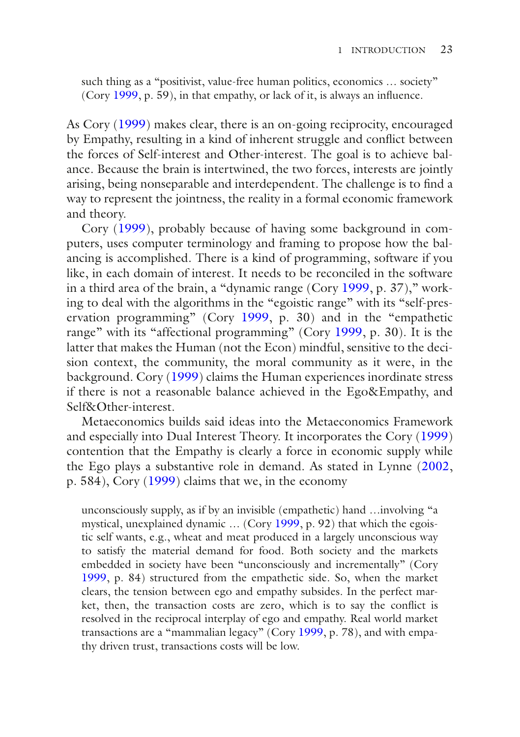such thing as a "positivist, value-free human politics, economics … society" (Cory [1999,](#page-29-11) p. 59), in that empathy, or lack of it, is always an influence.

As Cory [\(1999\)](#page-29-11) makes clear, there is an on-going reciprocity, encouraged by Empathy, resulting in a kind of inherent struggle and conflict between the forces of Self-interest and Other-interest. The goal is to achieve balance. Because the brain is intertwined, the two forces, interests are jointly arising, being nonseparable and interdependent. The challenge is to find a way to represent the jointness, the reality in a formal economic framework and theory.

Cory [\(1999\)](#page-29-11), probably because of having some background in computers, uses computer terminology and framing to propose how the balancing is accomplished. There is a kind of programming, software if you like, in each domain of interest. It needs to be reconciled in the software in a third area of the brain, a "dynamic range (Cory [1999](#page-29-11), p. 37)," working to deal with the algorithms in the "egoistic range" with its "self-preservation programming" (Cory [1999](#page-29-11), p. 30) and in the "empathetic range" with its "affectional programming" (Cory [1999,](#page-29-11) p. 30). It is the latter that makes the Human (not the Econ) mindful, sensitive to the decision context, the community, the moral community as it were, in the background. Cory ([1999](#page-29-11)) claims the Human experiences inordinate stress if there is not a reasonable balance achieved in the Ego&Empathy, and Self&Other-interest.

Metaeconomics builds said ideas into the Metaeconomics Framework and especially into Dual Interest Theory. It incorporates the Cory [\(1999\)](#page-29-11) contention that the Empathy is clearly a force in economic supply while the Ego plays a substantive role in demand. As stated in Lynne [\(2002,](#page-30-13) p. 584), Cory [\(1999\)](#page-29-11) claims that we, in the economy

unconsciously supply, as if by an invisible (empathetic) hand …involving "a mystical, unexplained dynamic … (Cory [1999](#page-29-11), p. 92) that which the egoistic self wants, e.g., wheat and meat produced in a largely unconscious way to satisfy the material demand for food. Both society and the markets embedded in society have been "unconsciously and incrementally" (Cory [1999](#page-29-11), p. 84) structured from the empathetic side. So, when the market clears, the tension between ego and empathy subsides. In the perfect market, then, the transaction costs are zero, which is to say the conflict is resolved in the reciprocal interplay of ego and empathy. Real world market transactions are a "mammalian legacy" (Cory [1999](#page-29-11), p. 78), and with empathy driven trust, transactions costs will be low.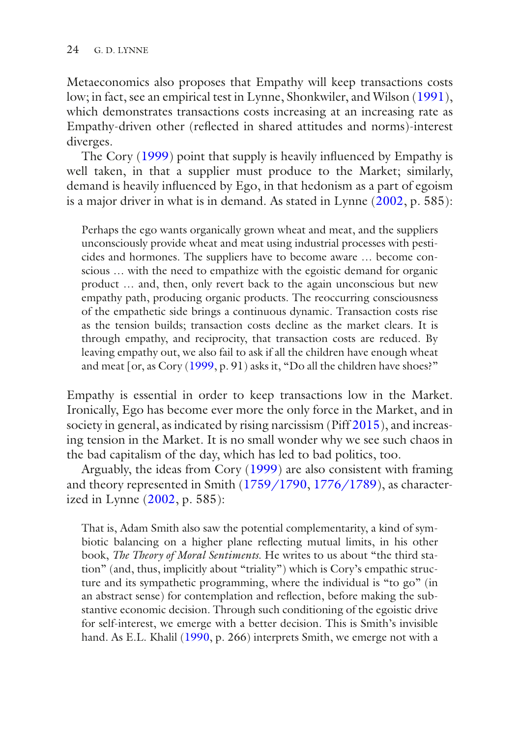Metaeconomics also proposes that Empathy will keep transactions costs low; in fact, see an empirical test in Lynne, Shonkwiler, and Wilson ([1991](#page-30-14)), which demonstrates transactions costs increasing at an increasing rate as Empathy-driven other (reflected in shared attitudes and norms)-interest diverges.

The Cory ([1999](#page-29-11)) point that supply is heavily influenced by Empathy is well taken, in that a supplier must produce to the Market; similarly, demand is heavily influenced by Ego, in that hedonism as a part of egoism is a major driver in what is in demand. As stated in Lynne ([2002,](#page-30-13) p. 585):

Perhaps the ego wants organically grown wheat and meat, and the suppliers unconsciously provide wheat and meat using industrial processes with pesticides and hormones. The suppliers have to become aware … become conscious … with the need to empathize with the egoistic demand for organic product … and, then, only revert back to the again unconscious but new empathy path, producing organic products. The reoccurring consciousness of the empathetic side brings a continuous dynamic. Transaction costs rise as the tension builds; transaction costs decline as the market clears. It is through empathy, and reciprocity, that transaction costs are reduced. By leaving empathy out, we also fail to ask if all the children have enough wheat and meat [or, as Cory ([1999,](#page-29-11) p. 91) asks it, "Do all the children have shoes?"

Empathy is essential in order to keep transactions low in the Market. Ironically, Ego has become ever more the only force in the Market, and in society in general, as indicated by rising narcissism (Piff [2015\)](#page-31-14), and increasing tension in the Market. It is no small wonder why we see such chaos in the bad capitalism of the day, which has led to bad politics, too.

Arguably, the ideas from Cory ([1999](#page-29-11)) are also consistent with framing and theory represented in Smith ([1759/1790,](#page-31-0) [1776/1789](#page-31-1)), as characterized in Lynne [\(2002,](#page-30-13) p. 585):

That is, Adam Smith also saw the potential complementarity, a kind of symbiotic balancing on a higher plane reflecting mutual limits, in his other book, *The Theory of Moral Sentiments*. He writes to us about "the third station" (and, thus, implicitly about "triality") which is Cory's empathic structure and its sympathetic programming, where the individual is "to go" (in an abstract sense) for contemplation and reflection, before making the substantive economic decision. Through such conditioning of the egoistic drive for self-interest, we emerge with a better decision. This is Smith's invisible hand. As E.L. Khalil ([1990](#page-30-15), p. 266) interprets Smith, we emerge not with a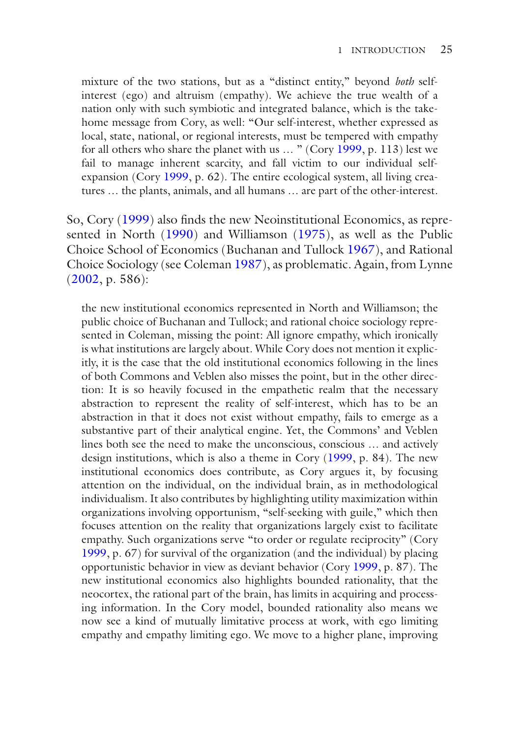mixture of the two stations, but as a "distinct entity," beyond *both* selfinterest (ego) and altruism (empathy). We achieve the true wealth of a nation only with such symbiotic and integrated balance, which is the takehome message from Cory, as well: "Our self-interest, whether expressed as local, state, national, or regional interests, must be tempered with empathy for all others who share the planet with us … " (Cory [1999](#page-29-11), p. 113) lest we fail to manage inherent scarcity, and fall victim to our individual selfexpansion (Cory [1999](#page-29-11), p. 62). The entire ecological system, all living creatures … the plants, animals, and all humans … are part of the other-interest.

So, Cory [\(1999\)](#page-29-11) also finds the new Neoinstitutional Economics, as represented in North ([1990](#page-31-15)) and Williamson [\(1975\)](#page-32-9), as well as the Public Choice School of Economics (Buchanan and Tullock [1967\)](#page-29-14), and Rational Choice Sociology (see Coleman [1987\)](#page-29-15), as problematic. Again, from Lynne ([2002](#page-30-13), p. 586):

the new institutional economics represented in North and Williamson; the public choice of Buchanan and Tullock; and rational choice sociology represented in Coleman, missing the point: All ignore empathy, which ironically is what institutions are largely about. While Cory does not mention it explicitly, it is the case that the old institutional economics following in the lines of both Commons and Veblen also misses the point, but in the other direction: It is so heavily focused in the empathetic realm that the necessary abstraction to represent the reality of self-interest, which has to be an abstraction in that it does not exist without empathy, fails to emerge as a substantive part of their analytical engine. Yet, the Commons' and Veblen lines both see the need to make the unconscious, conscious … and actively design institutions, which is also a theme in Cory [\(1999,](#page-29-11) p. 84). The new institutional economics does contribute, as Cory argues it, by focusing attention on the individual, on the individual brain, as in methodological individualism. It also contributes by highlighting utility maximization within organizations involving opportunism, "self-seeking with guile," which then focuses attention on the reality that organizations largely exist to facilitate empathy. Such organizations serve "to order or regulate reciprocity" (Cory [1999](#page-29-11), p. 67) for survival of the organization (and the individual) by placing opportunistic behavior in view as deviant behavior (Cory [1999](#page-29-11), p. 87). The new institutional economics also highlights bounded rationality, that the neocortex, the rational part of the brain, has limits in acquiring and processing information. In the Cory model, bounded rationality also means we now see a kind of mutually limitative process at work, with ego limiting empathy and empathy limiting ego. We move to a higher plane, improving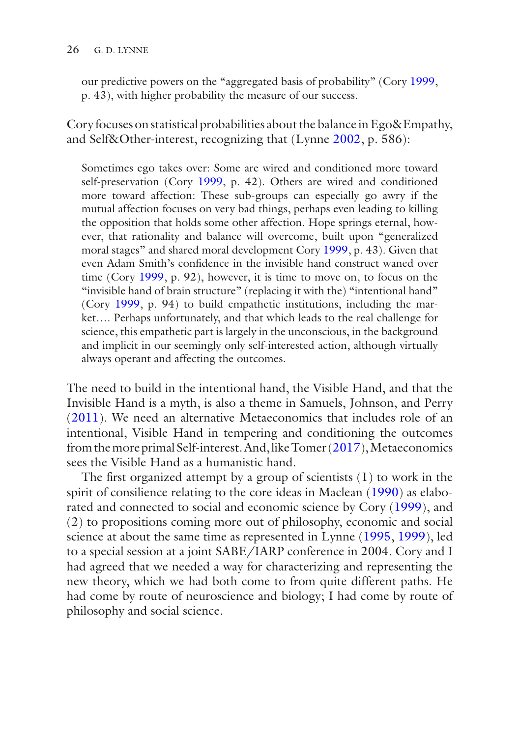our predictive powers on the "aggregated basis of probability" (Cory [1999](#page-29-11), p. 43), with higher probability the measure of our success.

Cory focuses on statistical probabilities about the balance in Ego&Empathy, and Self&Other-interest, recognizing that (Lynne [2002](#page-30-13), p. 586):

Sometimes ego takes over: Some are wired and conditioned more toward self-preservation (Cory [1999,](#page-29-11) p. 42). Others are wired and conditioned more toward affection: These sub-groups can especially go awry if the mutual affection focuses on very bad things, perhaps even leading to killing the opposition that holds some other affection. Hope springs eternal, however, that rationality and balance will overcome, built upon "generalized moral stages" and shared moral development Cory [1999](#page-29-11), p. 43). Given that even Adam Smith's confidence in the invisible hand construct waned over time (Cory [1999](#page-29-11), p. 92), however, it is time to move on, to focus on the "invisible hand of brain structure" (replacing it with the) "intentional hand" (Cory [1999,](#page-29-11) p. 94) to build empathetic institutions, including the market…. Perhaps unfortunately, and that which leads to the real challenge for science, this empathetic part is largely in the unconscious, in the background and implicit in our seemingly only self-interested action, although virtually always operant and affecting the outcomes.

The need to build in the intentional hand, the Visible Hand, and that the Invisible Hand is a myth, is also a theme in Samuels, Johnson, and Perry ([2011](#page-31-5)). We need an alternative Metaeconomics that includes role of an intentional, Visible Hand in tempering and conditioning the outcomes from the more primal Self-interest. And, like Tomer ([2017](#page-32-6)), Metaeconomics sees the Visible Hand as a humanistic hand.

The first organized attempt by a group of scientists (1) to work in the spirit of consilience relating to the core ideas in Maclean [\(1990\)](#page-31-9) as elaborated and connected to social and economic science by Cory [\(1999\)](#page-29-11), and (2) to propositions coming more out of philosophy, economic and social science at about the same time as represented in Lynne [\(1995,](#page-30-9) [1999\)](#page-30-16), led to a special session at a joint SABE/IARP conference in 2004. Cory and I had agreed that we needed a way for characterizing and representing the new theory, which we had both come to from quite different paths. He had come by route of neuroscience and biology; I had come by route of philosophy and social science.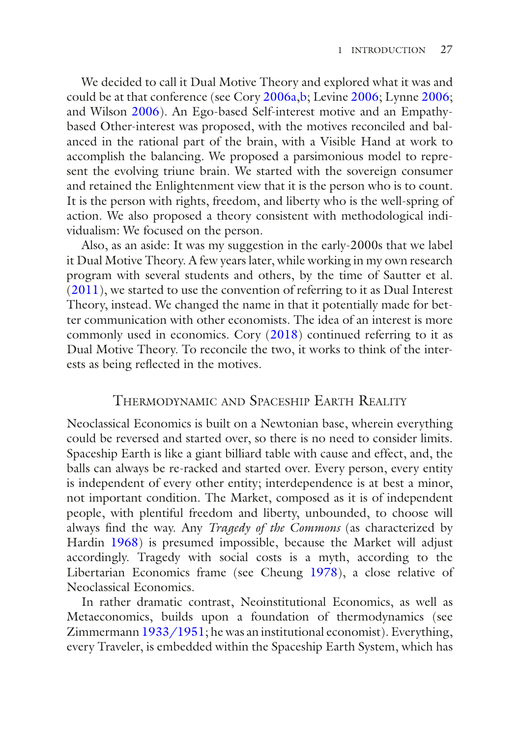We decided to call it Dual Motive Theory and explored what it was and could be at that conference (see Cory [2006a](#page-29-16)[,b;](#page-29-17) Levine [2006;](#page-30-17) Lynne [2006;](#page-30-0) and Wilson [2006\)](#page-32-10). An Ego-based Self-interest motive and an Empathybased Other-interest was proposed, with the motives reconciled and balanced in the rational part of the brain, with a Visible Hand at work to accomplish the balancing. We proposed a parsimonious model to represent the evolving triune brain. We started with the sovereign consumer and retained the Enlightenment view that it is the person who is to count. It is the person with rights, freedom, and liberty who is the well-spring of action. We also proposed a theory consistent with methodological individualism: We focused on the person.

Also, as an aside: It was my suggestion in the early-2000s that we label it Dual Motive Theory. A few years later, while working in my own research program with several students and others, by the time of Sautter et al. ([2011](#page-31-16)), we started to use the convention of referring to it as Dual Interest Theory, instead. We changed the name in that it potentially made for better communication with other economists. The idea of an interest is more commonly used in economics. Cory [\(2018\)](#page-29-18) continued referring to it as Dual Motive Theory. To reconcile the two, it works to think of the interests as being reflected in the motives.

#### Thermodynamic and Spaceship Earth Reality

Neoclassical Economics is built on a Newtonian base, wherein everything could be reversed and started over, so there is no need to consider limits. Spaceship Earth is like a giant billiard table with cause and effect, and, the balls can always be re-racked and started over. Every person, every entity is independent of every other entity; interdependence is at best a minor, not important condition. The Market, composed as it is of independent people, with plentiful freedom and liberty, unbounded, to choose will always find the way. Any *Tragedy of the Commons* (as characterized by Hardin [1968\)](#page-30-12) is presumed impossible, because the Market will adjust accordingly. Tragedy with social costs is a myth, according to the Libertarian Economics frame (see Cheung [1978\)](#page-29-19), a close relative of Neoclassical Economics.

In rather dramatic contrast, Neoinstitutional Economics, as well as Metaeconomics, builds upon a foundation of thermodynamics (see Zimmermann [1933/1951;](#page-32-11) he was an institutional economist). Everything, every Traveler, is embedded within the Spaceship Earth System, which has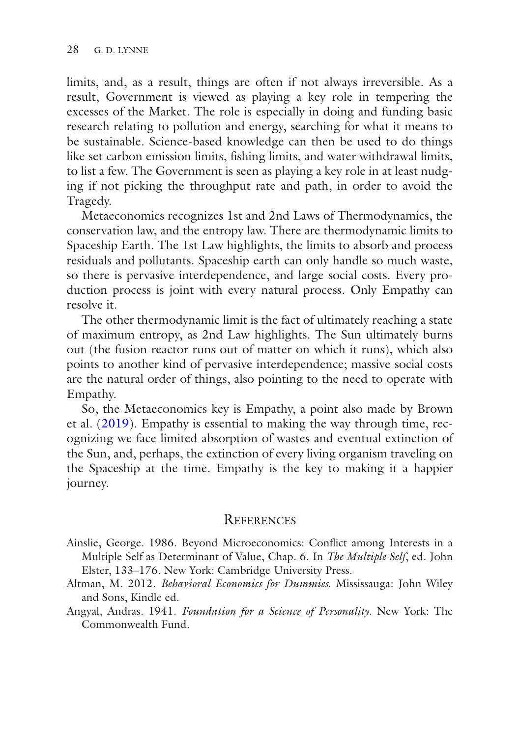limits, and, as a result, things are often if not always irreversible. As a result, Government is viewed as playing a key role in tempering the excesses of the Market. The role is especially in doing and funding basic research relating to pollution and energy, searching for what it means to be sustainable. Science-based knowledge can then be used to do things like set carbon emission limits, fishing limits, and water withdrawal limits, to list a few. The Government is seen as playing a key role in at least nudging if not picking the throughput rate and path, in order to avoid the Tragedy.

Metaeconomics recognizes 1st and 2nd Laws of Thermodynamics, the conservation law, and the entropy law. There are thermodynamic limits to Spaceship Earth. The 1st Law highlights, the limits to absorb and process residuals and pollutants. Spaceship earth can only handle so much waste, so there is pervasive interdependence, and large social costs. Every production process is joint with every natural process. Only Empathy can resolve it.

The other thermodynamic limit is the fact of ultimately reaching a state of maximum entropy, as 2nd Law highlights. The Sun ultimately burns out (the fusion reactor runs out of matter on which it runs), which also points to another kind of pervasive interdependence; massive social costs are the natural order of things, also pointing to the need to operate with Empathy.

So, the Metaeconomics key is Empathy, a point also made by Brown et al. ([2019](#page-29-20)). Empathy is essential to making the way through time, recognizing we face limited absorption of wastes and eventual extinction of the Sun, and, perhaps, the extinction of every living organism traveling on the Spaceship at the time. Empathy is the key to making it a happier journey.

#### **REFERENCES**

- <span id="page-28-0"></span>Ainslie, George. 1986. Beyond Microeconomics: Conflict among Interests in a Multiple Self as Determinant of Value, Chap. 6. In *The Multiple Self*, ed. John Elster, 133–176. New York: Cambridge University Press.
- <span id="page-28-2"></span>Altman, M. 2012. *Behavioral Economics for Dummies*. Mississauga: John Wiley and Sons, Kindle ed.
- <span id="page-28-1"></span>Angyal, Andras. 1941. *Foundation for a Science of Personality*. New York: The Commonwealth Fund.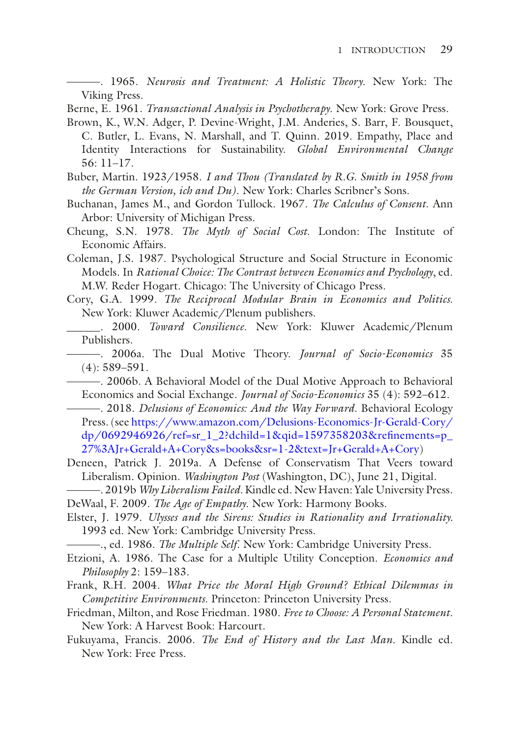<span id="page-29-10"></span>———. 1965. *Neurosis and Treatment: A Holistic Theory*. New York: The Viking Press.

<span id="page-29-5"></span>Berne, E. 1961. *Transactional Analysis in Psychotherapy*. New York: Grove Press.

- <span id="page-29-20"></span>Brown, K., W.N. Adger, P. Devine-Wright, J.M. Anderies, S. Barr, F. Bousquet, C. Butler, L. Evans, N. Marshall, and T. Quinn. 2019. Empathy, Place and Identity Interactions for Sustainability. *Global Environmental Change* 56: 11–17.
- <span id="page-29-7"></span>Buber, Martin. 1923/1958. *I and Thou (Translated by R.G. Smith in 1958 from the German Version, ich and Du)*. New York: Charles Scribner's Sons.
- <span id="page-29-14"></span>Buchanan, James M., and Gordon Tullock. 1967. *The Calculus of Consent*. Ann Arbor: University of Michigan Press.
- <span id="page-29-19"></span>Cheung, S.N. 1978. *The Myth of Social Cost*. London: The Institute of Economic Affairs.
- <span id="page-29-15"></span>Coleman, J.S. 1987. Psychological Structure and Social Structure in Economic Models. In *Rational Choice: The Contrast between Economics and Psychology*, ed. M.W. Reder Hogart. Chicago: The University of Chicago Press.
- <span id="page-29-16"></span><span id="page-29-13"></span><span id="page-29-11"></span>Cory, G.A. 1999. *The Reciprocal Modular Brain in Economics and Politics*. New York: Kluwer Academic/Plenum publishers.
	- \_\_\_\_\_\_. 2000. *Toward Consilience*. New York: Kluwer Academic/Plenum Publishers.
	- ———. 2006a. The Dual Motive Theory. *Journal of Socio-Economics* 35 (4): 589–591.
	- ———. 2006b. A Behavioral Model of the Dual Motive Approach to Behavioral Economics and Social Exchange. *Journal of Socio-Economics* 35 (4): 592–612.

<span id="page-29-18"></span><span id="page-29-17"></span>———. 2018. *Delusions of Economics: And the Way Forward*. Behavioral Ecology Press. (see [https://www.amazon.com/Delusions-Economics-Jr-Gerald-Cory/](https://www.amazon.com/Delusions-Economics-Jr-Gerald-Cory/dp/0692946926/ref=sr_1_2?dchild=1&qid=1597358203&refinements=p_27:Jr+Gerald+A+Cory&s=books&sr=1-2&text=Jr+Gerald+A+Cory) [dp/0692946926/ref=sr\\_1\\_2?dchild=1&qid=1597358203&refinements=p\\_](https://www.amazon.com/Delusions-Economics-Jr-Gerald-Cory/dp/0692946926/ref=sr_1_2?dchild=1&qid=1597358203&refinements=p_27:Jr+Gerald+A+Cory&s=books&sr=1-2&text=Jr+Gerald+A+Cory) [27%3AJr+Gerald+A+Cory&s=books&sr=1-2&text=Jr+Gerald+A+Cory](https://www.amazon.com/Delusions-Economics-Jr-Gerald-Cory/dp/0692946926/ref=sr_1_2?dchild=1&qid=1597358203&refinements=p_27:Jr+Gerald+A+Cory&s=books&sr=1-2&text=Jr+Gerald+A+Cory))

- <span id="page-29-1"></span>Deneen, Patrick J. 2019a. A Defense of Conservatism That Veers toward Liberalism. Opinion. *Washington Post* (Washington, DC), June 21, Digital.
- <span id="page-29-2"></span><span id="page-29-0"></span>———. 2019b *Why Liberalism Failed.* Kindle ed. New Haven: Yale University Press. DeWaal, F. 2009. *The Age of Empathy*. New York: Harmony Books.
- <span id="page-29-4"></span>Elster, J. 1979. *Ulysses and the Sirens: Studies in Rationality and Irrationality.*

1993 ed. New York: Cambridge University Press.

- <span id="page-29-6"></span>———., ed. 1986. *The Multiple Self*. New York: Cambridge University Press.
- <span id="page-29-8"></span>Etzioni, A. 1986. The Case for a Multiple Utility Conception. *Economics and Philosophy* 2: 159–183.
- <span id="page-29-9"></span>Frank, R.H. 2004. *What Price the Moral High Ground? Ethical Dilemmas in Competitive Environments*. Princeton: Princeton University Press.
- <span id="page-29-12"></span>Friedman, Milton, and Rose Friedman. 1980. *Free to Choose: A Personal Statement*. New York: A Harvest Book: Harcourt.
- <span id="page-29-3"></span>Fukuyama, Francis. 2006. *The End of History and the Last Man.* Kindle ed. New York: Free Press.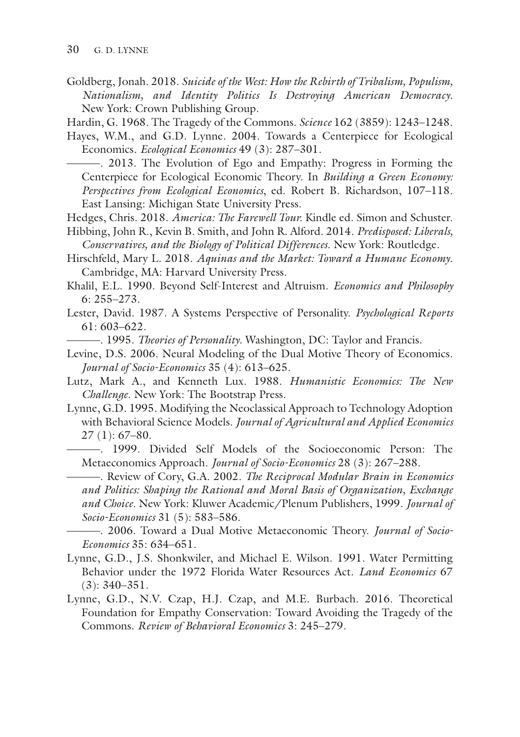<span id="page-30-2"></span>Goldberg, Jonah. 2018. *Suicide of the West: How the Rebirth of Tribalism, Populism, Nationalism, and Identity Politics Is Destroying American Democracy*. New York: Crown Publishing Group.

<span id="page-30-12"></span>Hardin, G. 1968. The Tragedy of the Commons. *Science* 162 (3859): 1243–1248.

- <span id="page-30-5"></span>Hayes, W.M., and G.D. Lynne. 2004. Towards a Centerpiece for Ecological Economics. *Ecological Economics* 49 (3): 287–301.
- <span id="page-30-6"></span>———. 2013. The Evolution of Ego and Empathy: Progress in Forming the Centerpiece for Ecological Economic Theory. In *Building a Green Economy: Perspectives from Ecological Economics*, ed. Robert B. Richardson, 107–118. East Lansing: Michigan State University Press.
- <span id="page-30-3"></span>Hedges, Chris. 2018. *America: The Farewell Tour.* Kindle ed. Simon and Schuster.
- <span id="page-30-11"></span>Hibbing, John R., Kevin B. Smith, and John R. Alford. 2014. *Predisposed: Liberals, Conservatives, and the Biology of Political Differences*. New York: Routledge.
- <span id="page-30-4"></span>Hirschfeld, Mary L. 2018. *Aquinas and the Market: Toward a Humane Economy*. Cambridge, MA: Harvard University Press.
- <span id="page-30-15"></span>Khalil, E.L. 1990. Beyond Self-Interest and Altruism. *Economics and Philosophy* 6: 255–273.
- <span id="page-30-7"></span>Lester, David. 1987. A Systems Perspective of Personality. *Psychological Reports* 61: 603–622.
	- ———. 1995. *Theories of Personality*. Washington, DC: Taylor and Francis.
- <span id="page-30-17"></span><span id="page-30-8"></span>Levine, D.S. 2006. Neural Modeling of the Dual Motive Theory of Economics. *Journal of Socio-Economics* 35 (4): 613–625.
- <span id="page-30-10"></span>Lutz, Mark A., and Kenneth Lux. 1988. *Humanistic Economics: The New Challenge*. New York: The Bootstrap Press.
- <span id="page-30-16"></span><span id="page-30-13"></span><span id="page-30-9"></span>Lynne, G.D. 1995. Modifying the Neoclassical Approach to Technology Adoption with Behavioral Science Models. *Journal of Agricultural and Applied Economics* 27 (1): 67–80.
	- ———. 1999. Divided Self Models of the Socioeconomic Person: The Metaeconomics Approach. *Journal of Socio-Economics* 28 (3): 267–288.
	- ———. Review of Cory, G.A. 2002. *The Reciprocal Modular Brain in Economics and Politics: Shaping the Rational and Moral Basis of Organization, Exchange and Choice*. New York: Kluwer Academic/Plenum Publishers, 1999. *Journal of Socio-Economics* 31 (5): 583–586.
	- ———. 2006. Toward a Dual Motive Metaeconomic Theory. *Journal of Socio-Economics* 35: 634–651.
- <span id="page-30-14"></span><span id="page-30-0"></span>Lynne, G.D., J.S. Shonkwiler, and Michael E. Wilson. 1991. Water Permitting Behavior under the 1972 Florida Water Resources Act. *Land Economics* 67 (3): 340–351.
- <span id="page-30-1"></span>Lynne, G.D., N.V. Czap, H.J. Czap, and M.E. Burbach. 2016. Theoretical Foundation for Empathy Conservation: Toward Avoiding the Tragedy of the Commons. *Review of Behavioral Economics* 3: 245–279.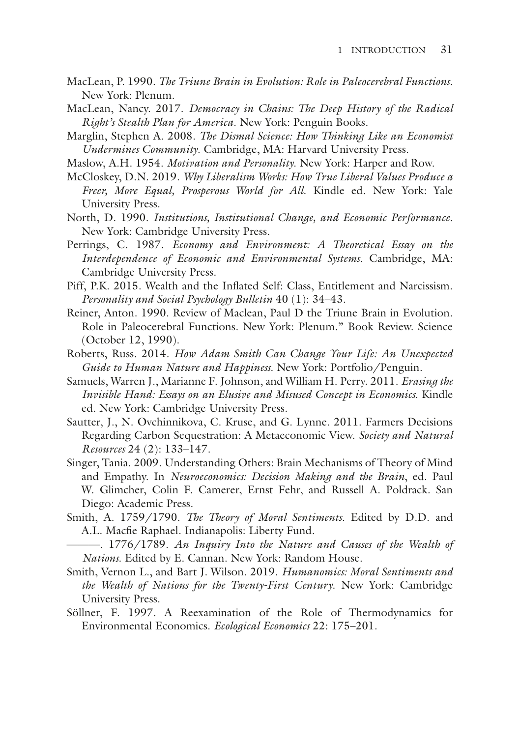- <span id="page-31-9"></span>MacLean, P. 1990. *The Triune Brain in Evolution: Role in Paleocerebral Functions*. New York: Plenum.
- <span id="page-31-2"></span>MacLean, Nancy. 2017. *Democracy in Chains: The Deep History of the Radical Right's Stealth Plan for America*. New York: Penguin Books.
- <span id="page-31-8"></span>Marglin, Stephen A. 2008. *The Dismal Science: How Thinking Like an Economist Undermines Community*. Cambridge, MA: Harvard University Press.
- <span id="page-31-7"></span>Maslow, A.H. 1954. *Motivation and Personality*. New York: Harper and Row.
- <span id="page-31-3"></span>McCloskey, D.N. 2019. *Why Liberalism Works: How True Liberal Values Produce a Freer, More Equal, Prosperous World for All*. Kindle ed. New York: Yale University Press.
- <span id="page-31-15"></span>North, D. 1990. *Institutions, Institutional Change, and Economic Performance*. New York: Cambridge University Press.
- <span id="page-31-12"></span>Perrings, C. 1987. *Economy and Environment: A Theoretical Essay on the Interdependence of Economic and Environmental Systems*. Cambridge, MA: Cambridge University Press.
- <span id="page-31-14"></span>Piff, P.K. 2015. Wealth and the Inflated Self: Class, Entitlement and Narcissism. *Personality and Social Psychology Bulletin* 40 (1): 34–43.
- <span id="page-31-13"></span>Reiner, Anton. 1990. Review of Maclean, Paul D the Triune Brain in Evolution. Role in Paleocerebral Functions. New York: Plenum." Book Review. Science (October 12, 1990).
- <span id="page-31-4"></span>Roberts, Russ. 2014. *How Adam Smith Can Change Your Life: An Unexpected Guide to Human Nature and Happiness*. New York: Portfolio/Penguin.
- <span id="page-31-5"></span>Samuels, Warren J., Marianne F. Johnson, and William H. Perry. 2011. *Erasing the Invisible Hand: Essays on an Elusive and Misused Concept in Economics*. Kindle ed. New York: Cambridge University Press.
- <span id="page-31-16"></span>Sautter, J., N. Ovchinnikova, C. Kruse, and G. Lynne. 2011. Farmers Decisions Regarding Carbon Sequestration: A Metaeconomic View. *Society and Natural Resources* 24 (2): 133–147.
- <span id="page-31-10"></span>Singer, Tania. 2009. Understanding Others: Brain Mechanisms of Theory of Mind and Empathy. In *Neuroeconomics: Decision Making and the Brain*, ed. Paul W. Glimcher, Colin F. Camerer, Ernst Fehr, and Russell A. Poldrack. San Diego: Academic Press.
- <span id="page-31-0"></span>Smith, A. 1759/1790. *The Theory of Moral Sentiments*. Edited by D.D. and A.L. Macfie Raphael. Indianapolis: Liberty Fund.
- <span id="page-31-1"></span>———. 1776/1789. *An Inquiry Into the Nature and Causes of the Wealth of Nations*. Edited by E. Cannan. New York: Random House.
- <span id="page-31-6"></span>Smith, Vernon L., and Bart J. Wilson. 2019. *Humanomics: Moral Sentiments and the Wealth of Nations for the Twenty-First Century*. New York: Cambridge University Press.
- <span id="page-31-11"></span>Söllner, F. 1997. A Reexamination of the Role of Thermodynamics for Environmental Economics. *Ecological Economics* 22: 175–201.